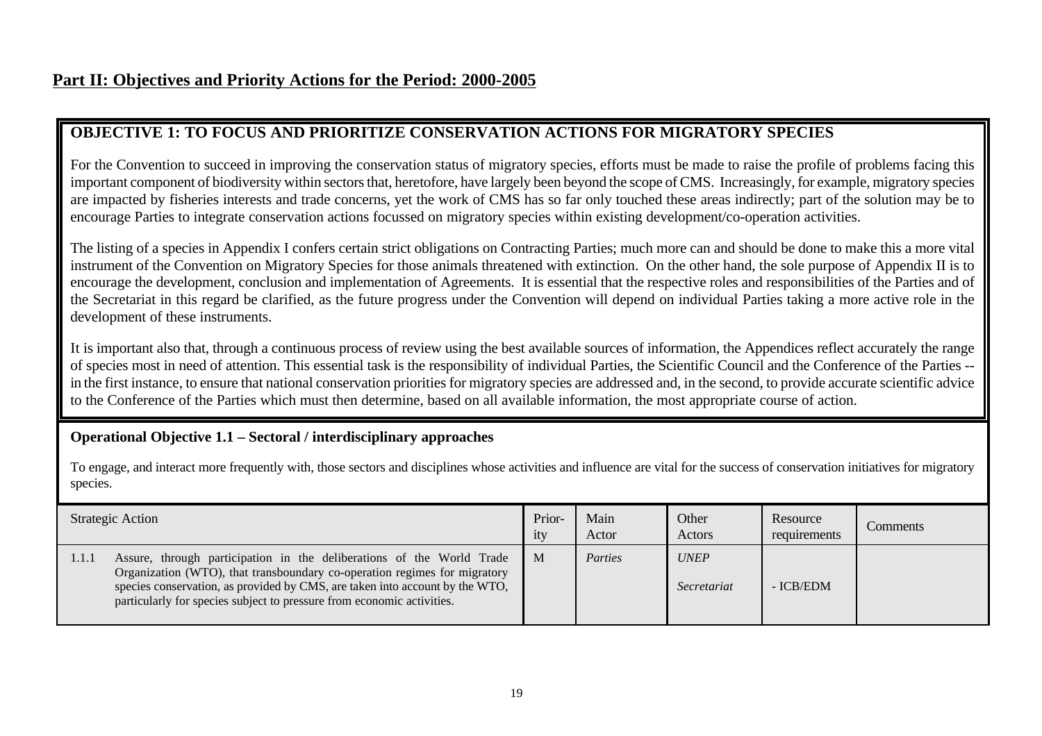# **OBJECTIVE 1: TO FOCUS AND PRIORITIZE CONSERVATION ACTIONS FOR MIGRATORY SPECIES**

For the Convention to succeed in improving the conservation status of migratory species, efforts must be made to raise the profile of problems facing this important component of biodiversity within sectors that, heretofore, have largely been beyond the scope of CMS. Increasingly, for example, migratory species are impacted by fisheries interests and trade concerns, yet the work of CMS has so far only touched these areas indirectly; part of the solution may be to encourage Parties to integrate conservation actions focussed on migratory species within existing development/co-operation activities.

The listing of a species in Appendix I confers certain strict obligations on Contracting Parties; much more can and should be done to make this a more vital instrument of the Convention on Migratory Species for those animals threatened with extinction. On the other hand, the sole purpose of Appendix II is to encourage the development, conclusion and implementation of Agreements. It is essential that the respective roles and responsibilities of the Parties and of the Secretariat in this regard be clarified, as the future progress under the Convention will depend on individual Parties taking a more active role in the development of these instruments.

It is important also that, through a continuous process of review using the best available sources of information, the Appendices reflect accurately the range of species most in need of attention. This essential task is the responsibility of individual Parties, the Scientific Council and the Conference of the Parties - in the first instance, to ensure that national conservation priorities for migratory species are addressed and, in the second, to provide accurate scientific advice to the Conference of the Parties which must then determine, based on all available information, the most appropriate course of action.

### **Operational Objective 1.1 – Sectoral / interdisciplinary approaches**

To engage, and interact more frequently with, those sectors and disciplines whose activities and influence are vital for the success of conservation initiatives for migratory species.

| Strategic Action                                                                                                                                                                                                                                                                                                      | Prior-<br>ity | Main<br>Actor | Other<br>Actors                   | Resource<br>requirements | Comments |
|-----------------------------------------------------------------------------------------------------------------------------------------------------------------------------------------------------------------------------------------------------------------------------------------------------------------------|---------------|---------------|-----------------------------------|--------------------------|----------|
| Assure, through participation in the deliberations of the World Trade<br>1.1.1<br>Organization (WTO), that transboundary co-operation regimes for migratory<br>species conservation, as provided by CMS, are taken into account by the WTO,<br>particularly for species subject to pressure from economic activities. | $\mathbf{M}$  | Parties       | <b>UNEP</b><br><i>Secretariat</i> | - ICB/EDM                |          |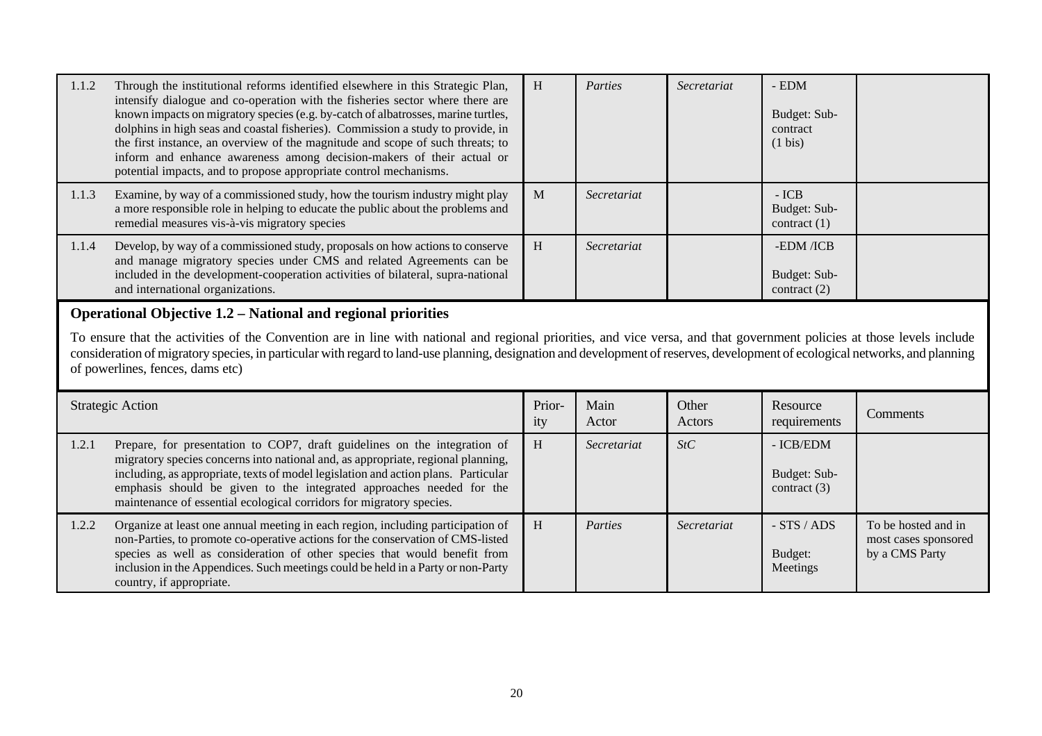| 1.1.2 | Through the institutional reforms identified elsewhere in this Strategic Plan,<br>intensify dialogue and co-operation with the fisheries sector where there are<br>known impacts on migratory species (e.g. by-catch of albatrosses, marine turtles,<br>dolphins in high seas and coastal fisheries). Commission a study to provide, in<br>the first instance, an overview of the magnitude and scope of such threats; to<br>inform and enhance awareness among decision-makers of their actual or<br>potential impacts, and to propose appropriate control mechanisms. | H             | Parties       | Secretariat     | - EDM<br>Budget: Sub-<br>contract<br>$(1 \text{ bis})$ |          |  |  |
|-------|-------------------------------------------------------------------------------------------------------------------------------------------------------------------------------------------------------------------------------------------------------------------------------------------------------------------------------------------------------------------------------------------------------------------------------------------------------------------------------------------------------------------------------------------------------------------------|---------------|---------------|-----------------|--------------------------------------------------------|----------|--|--|
| 1.1.3 | Examine, by way of a commissioned study, how the tourism industry might play<br>a more responsible role in helping to educate the public about the problems and<br>remedial measures vis-à-vis migratory species                                                                                                                                                                                                                                                                                                                                                        | M             | Secretariat   |                 | $-ICB$<br>Budget: Sub-<br>contract $(1)$               |          |  |  |
| 1.1.4 | Develop, by way of a commissioned study, proposals on how actions to conserve<br>and manage migratory species under CMS and related Agreements can be<br>included in the development-cooperation activities of bilateral, supra-national<br>and international organizations.                                                                                                                                                                                                                                                                                            | H             | Secretariat   |                 | -EDM /ICB<br>Budget: Sub-<br>contract $(2)$            |          |  |  |
|       | Operational Objective 1.2 - National and regional priorities<br>To ensure that the activities of the Convention are in line with national and regional priorities, and vice versa, and that government policies at those levels include<br>consideration of migratory species, in particular with regard to land-use planning, designation and development of reserves, development of ecological networks, and planning<br>of powerlines, fences, dams etc)                                                                                                            |               |               |                 |                                                        |          |  |  |
|       | <b>Strategic Action</b>                                                                                                                                                                                                                                                                                                                                                                                                                                                                                                                                                 | Prior-<br>ity | Main<br>Actor | Other<br>Actors | Resource<br>requirements                               | Comments |  |  |
| 1.2.1 | Prepare, for presentation to COP7, draft guidelines on the integration of<br>migratory species concerns into national and, as appropriate, regional planning,<br>including, as appropriate, texts of model legislation and action plans. Particular<br>emphasis should be given to the integrated approaches needed for the                                                                                                                                                                                                                                             | H             | Secretariat   | StC             | - ICB/EDM<br>Budget: Sub-<br>contract $(3)$            |          |  |  |
|       | maintenance of essential ecological corridors for migratory species.                                                                                                                                                                                                                                                                                                                                                                                                                                                                                                    |               |               |                 |                                                        |          |  |  |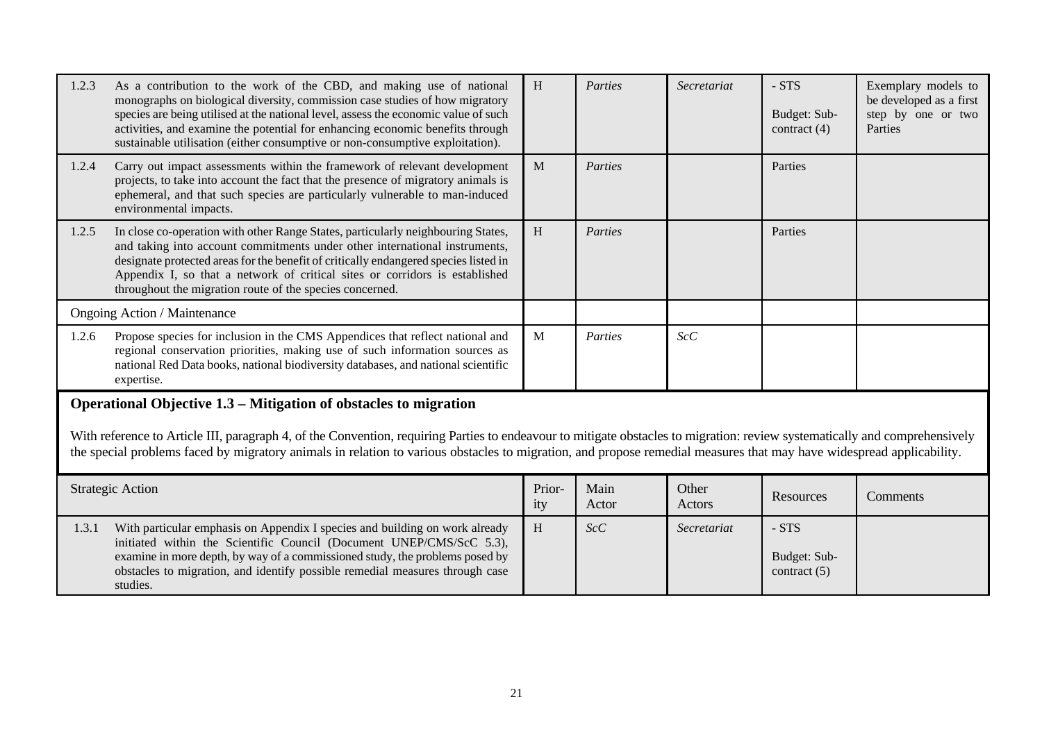| 1.2.3                               | As a contribution to the work of the CBD, and making use of national<br>monographs on biological diversity, commission case studies of how migratory<br>species are being utilised at the national level, assess the economic value of such<br>activities, and examine the potential for enhancing economic benefits through<br>sustainable utilisation (either consumptive or non-consumptive exploitation).           | H             | Parties       | Secretariat     | - STS<br>Budget: Sub-<br>contract $(4)$   | Exemplary models to<br>be developed as a first<br>step by one or two<br>Parties |  |  |
|-------------------------------------|-------------------------------------------------------------------------------------------------------------------------------------------------------------------------------------------------------------------------------------------------------------------------------------------------------------------------------------------------------------------------------------------------------------------------|---------------|---------------|-----------------|-------------------------------------------|---------------------------------------------------------------------------------|--|--|
| 1.2.4                               | Carry out impact assessments within the framework of relevant development<br>projects, to take into account the fact that the presence of migratory animals is<br>ephemeral, and that such species are particularly vulnerable to man-induced<br>environmental impacts.                                                                                                                                                 | M             | Parties       |                 | Parties                                   |                                                                                 |  |  |
| 1.2.5                               | In close co-operation with other Range States, particularly neighbouring States,<br>and taking into account commitments under other international instruments,<br>designate protected areas for the benefit of critically endangered species listed in<br>Appendix I, so that a network of critical sites or corridors is established<br>throughout the migration route of the species concerned.                       | H             | Parties       |                 | Parties                                   |                                                                                 |  |  |
| <b>Ongoing Action / Maintenance</b> |                                                                                                                                                                                                                                                                                                                                                                                                                         |               |               |                 |                                           |                                                                                 |  |  |
| 1.2.6                               | Propose species for inclusion in the CMS Appendices that reflect national and<br>regional conservation priorities, making use of such information sources as<br>national Red Data books, national biodiversity databases, and national scientific<br>expertise.                                                                                                                                                         | M             | Parties       | ScC             |                                           |                                                                                 |  |  |
|                                     | Operational Objective 1.3 – Mitigation of obstacles to migration<br>With reference to Article III, paragraph 4, of the Convention, requiring Parties to endeavour to mitigate obstacles to migration: review systematically and comprehensively<br>the special problems faced by migratory animals in relation to various obstacles to migration, and propose remedial measures that may have widespread applicability. |               |               |                 |                                           |                                                                                 |  |  |
|                                     | <b>Strategic Action</b>                                                                                                                                                                                                                                                                                                                                                                                                 | Prior-<br>ity | Main<br>Actor | Other<br>Actors | Resources                                 | Comments                                                                        |  |  |
| 1.3.1                               | With particular emphasis on Appendix I species and building on work already<br>initiated within the Scientific Council (Document UNEP/CMS/ScC 5.3),<br>examine in more depth, by way of a commissioned study, the problems posed by<br>obstacles to migration, and identify possible remedial measures through case<br>studies.                                                                                         | H             | ScC           | Secretariat     | $- STS$<br>Budget: Sub-<br>contract $(5)$ |                                                                                 |  |  |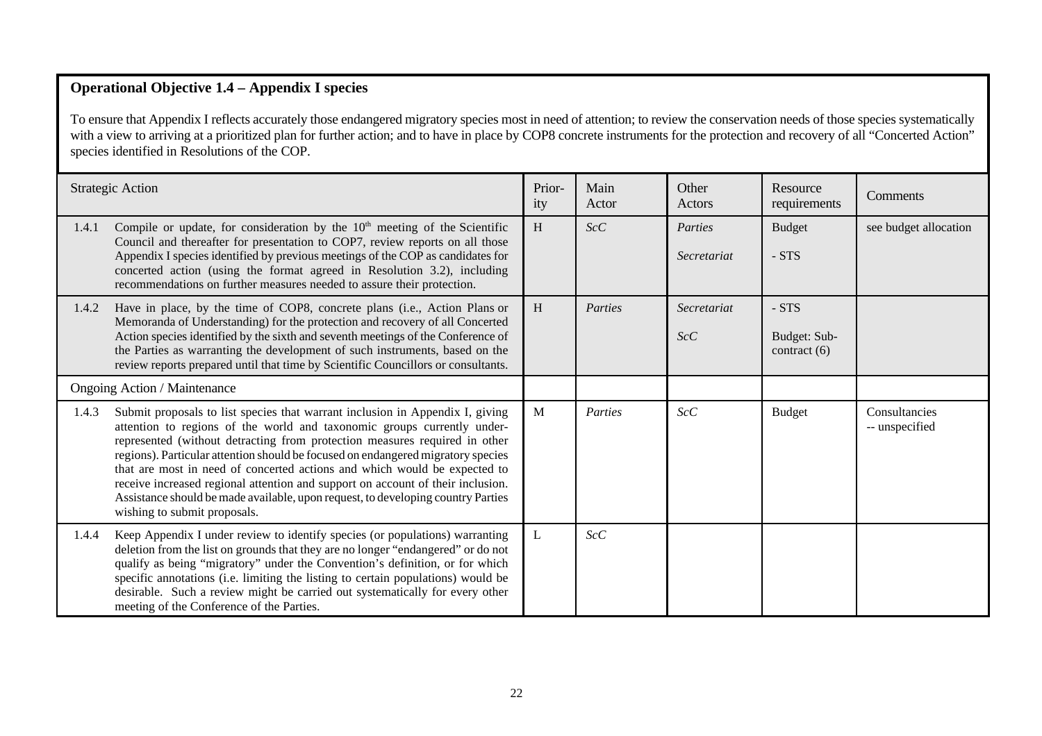## **Operational Objective 1.4 – Appendix I species**

To ensure that Appendix I reflects accurately those endangered migratory species most in need of attention; to review the conservation needs of those species systematically with a view to arriving at a prioritized plan for further action; and to have in place by COP8 concrete instruments for the protection and recovery of all "Concerted Action" species identified in Resolutions of the COP.

|       | <b>Strategic Action</b>                                                                                                                                                                                                                                                                                                                                                                                                                                                                                                                                                                                        | Prior-<br>ity | Main<br>Actor | Other<br>Actors        | Resource<br>requirements                | Comments                        |
|-------|----------------------------------------------------------------------------------------------------------------------------------------------------------------------------------------------------------------------------------------------------------------------------------------------------------------------------------------------------------------------------------------------------------------------------------------------------------------------------------------------------------------------------------------------------------------------------------------------------------------|---------------|---------------|------------------------|-----------------------------------------|---------------------------------|
| 1.4.1 | Compile or update, for consideration by the $10th$ meeting of the Scientific<br>Council and thereafter for presentation to COP7, review reports on all those<br>Appendix I species identified by previous meetings of the COP as candidates for<br>concerted action (using the format agreed in Resolution 3.2), including<br>recommendations on further measures needed to assure their protection.                                                                                                                                                                                                           | H             | ScC           | Parties<br>Secretariat | <b>Budget</b><br>- STS                  | see budget allocation           |
| 1.4.2 | Have in place, by the time of COP8, concrete plans (i.e., Action Plans or<br>Memoranda of Understanding) for the protection and recovery of all Concerted<br>Action species identified by the sixth and seventh meetings of the Conference of<br>the Parties as warranting the development of such instruments, based on the<br>review reports prepared until that time by Scientific Councillors or consultants.                                                                                                                                                                                              | H             | Parties       | Secretariat<br>ScC     | - STS<br>Budget: Sub-<br>contract $(6)$ |                                 |
|       | <b>Ongoing Action / Maintenance</b>                                                                                                                                                                                                                                                                                                                                                                                                                                                                                                                                                                            |               |               |                        |                                         |                                 |
| 1.4.3 | Submit proposals to list species that warrant inclusion in Appendix I, giving<br>attention to regions of the world and taxonomic groups currently under-<br>represented (without detracting from protection measures required in other<br>regions). Particular attention should be focused on endangered migratory species<br>that are most in need of concerted actions and which would be expected to<br>receive increased regional attention and support on account of their inclusion.<br>Assistance should be made available, upon request, to developing country Parties<br>wishing to submit proposals. | M             | Parties       | ScC                    | <b>Budget</b>                           | Consultancies<br>-- unspecified |
| 1.4.4 | Keep Appendix I under review to identify species (or populations) warranting<br>deletion from the list on grounds that they are no longer "endangered" or do not<br>qualify as being "migratory" under the Convention's definition, or for which<br>specific annotations (i.e. limiting the listing to certain populations) would be<br>desirable. Such a review might be carried out systematically for every other<br>meeting of the Conference of the Parties.                                                                                                                                              | L             | ScC           |                        |                                         |                                 |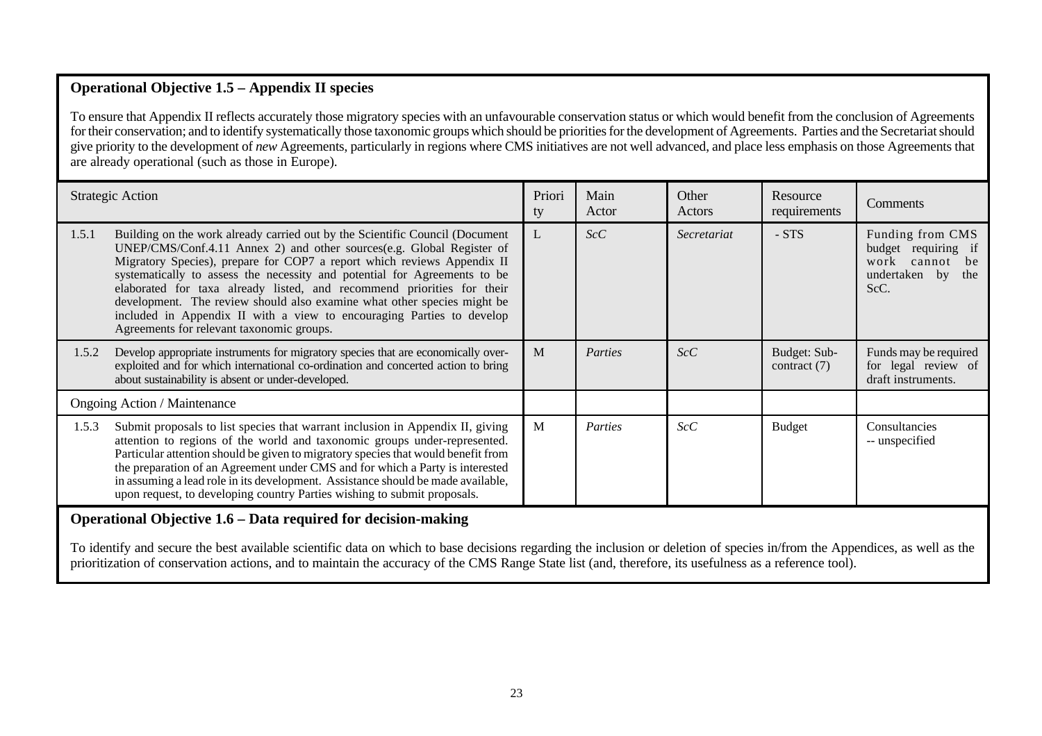# **Operational Objective 1.5 – Appendix II species**

To ensure that Appendix II reflects accurately those migratory species with an unfavourable conservation status or which would benefit from the conclusion of Agreements for their conservation; and to identify systematically those taxonomic groups which should be priorities for the development of Agreements. Parties and the Secretariat should give priority to the development of *new* Agreements, particularly in regions where CMS initiatives are not well advanced, and place less emphasis on those Agreements that are already operational (such as those in Europe).

|       | <b>Strategic Action</b>                                                                                                                                                                                                                                                                                                                                                                                                                                                                                                                                                                  | Priori<br>ty | Main<br>Actor | Other<br>Actors | Resource<br>requirements       | Comments                                                                                  |
|-------|------------------------------------------------------------------------------------------------------------------------------------------------------------------------------------------------------------------------------------------------------------------------------------------------------------------------------------------------------------------------------------------------------------------------------------------------------------------------------------------------------------------------------------------------------------------------------------------|--------------|---------------|-----------------|--------------------------------|-------------------------------------------------------------------------------------------|
| 1.5.1 | Building on the work already carried out by the Scientific Council (Document<br>UNEP/CMS/Conf.4.11 Annex 2) and other sources(e.g. Global Register of<br>Migratory Species), prepare for COP7 a report which reviews Appendix II<br>systematically to assess the necessity and potential for Agreements to be<br>elaborated for taxa already listed, and recommend priorities for their<br>development. The review should also examine what other species might be<br>included in Appendix II with a view to encouraging Parties to develop<br>Agreements for relevant taxonomic groups. | L            | ScC           | Secretariat     | - STS                          | Funding from CMS<br>budget requiring if<br>work<br>cannot be<br>undertaken by the<br>ScC. |
| 1.5.2 | Develop appropriate instruments for migratory species that are economically over-<br>exploited and for which international co-ordination and concerted action to bring<br>about sustainability is absent or under-developed.                                                                                                                                                                                                                                                                                                                                                             | M            | Parties       | ScC             | Budget: Sub-<br>contract $(7)$ | Funds may be required<br>for legal review of<br>draft instruments.                        |
|       | <b>Ongoing Action / Maintenance</b>                                                                                                                                                                                                                                                                                                                                                                                                                                                                                                                                                      |              |               |                 |                                |                                                                                           |
| 1.5.3 | Submit proposals to list species that warrant inclusion in Appendix II, giving<br>attention to regions of the world and taxonomic groups under-represented.<br>Particular attention should be given to migratory species that would benefit from<br>the preparation of an Agreement under CMS and for which a Party is interested<br>in assuming a lead role in its development. Assistance should be made available,<br>upon request, to developing country Parties wishing to submit proposals.                                                                                        | M            | Parties       | ScC             | <b>Budget</b>                  | Consultancies<br>-- unspecified                                                           |
|       | Operational Objective 1.6 – Data required for decision-making                                                                                                                                                                                                                                                                                                                                                                                                                                                                                                                            |              |               |                 |                                |                                                                                           |
|       | rende and the second contract of the second contract of the second contract of the second contract of the second                                                                                                                                                                                                                                                                                                                                                                                                                                                                         |              |               |                 |                                |                                                                                           |

To identify and secure the best available scientific data on which to base decisions regarding the inclusion or deletion of species in/from the Appendices, as well as the prioritization of conservation actions, and to maintain the accuracy of the CMS Range State list (and, therefore, its usefulness as a reference tool).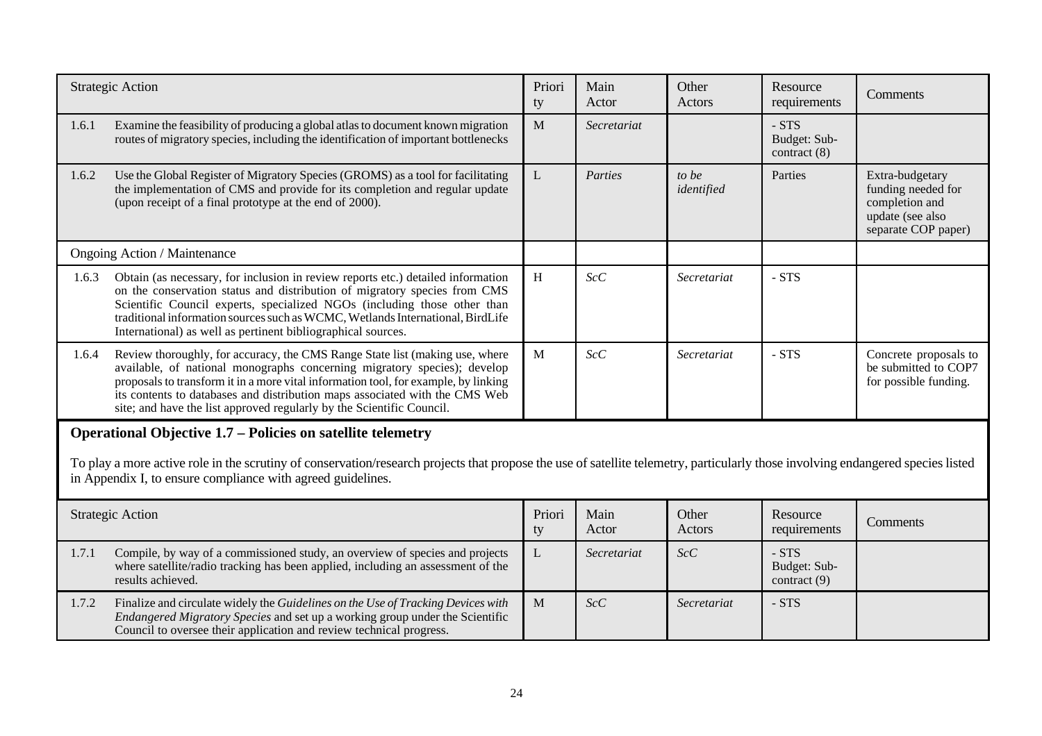|       | <b>Strategic Action</b>                                                                                                                                                                                                                                                                                                                                                                                 | Priori<br>ty | Main<br>Actor | Other<br>Actors     | Resource<br>requirements                  | Comments                                                                                           |
|-------|---------------------------------------------------------------------------------------------------------------------------------------------------------------------------------------------------------------------------------------------------------------------------------------------------------------------------------------------------------------------------------------------------------|--------------|---------------|---------------------|-------------------------------------------|----------------------------------------------------------------------------------------------------|
| 1.6.1 | Examine the feasibility of producing a global atlas to document known migration<br>routes of migratory species, including the identification of important bottlenecks                                                                                                                                                                                                                                   | M            | Secretariat   |                     | $- STS$<br>Budget: Sub-<br>contract $(8)$ |                                                                                                    |
| 1.6.2 | Use the Global Register of Migratory Species (GROMS) as a tool for facilitating<br>the implementation of CMS and provide for its completion and regular update<br>(upon receipt of a final prototype at the end of 2000).                                                                                                                                                                               | L            | Parties       | to be<br>identified | Parties                                   | Extra-budgetary<br>funding needed for<br>completion and<br>update (see also<br>separate COP paper) |
|       | Ongoing Action / Maintenance                                                                                                                                                                                                                                                                                                                                                                            |              |               |                     |                                           |                                                                                                    |
| 1.6.3 | Obtain (as necessary, for inclusion in review reports etc.) detailed information<br>on the conservation status and distribution of migratory species from CMS<br>Scientific Council experts, specialized NGOs (including those other than<br>traditional information sources such as WCMC, Wetlands International, BirdLife<br>International) as well as pertinent bibliographical sources.             | H            | ScC           | Secretariat         | - STS                                     |                                                                                                    |
| 1.6.4 | Review thoroughly, for accuracy, the CMS Range State list (making use, where<br>available, of national monographs concerning migratory species); develop<br>proposals to transform it in a more vital information tool, for example, by linking<br>its contents to databases and distribution maps associated with the CMS Web<br>site; and have the list approved regularly by the Scientific Council. | M            | ScC           | Secretariat         | - STS                                     | Concrete proposals to<br>be submitted to COP7<br>for possible funding.                             |
|       | <b>Operational Objective 1.7 – Policies on satellite telemetry</b><br>To play a more active role in the scrutiny of conservation/research projects that propose the use of satellite telemetry, particularly those involving endangered species listed<br>in Appendix I, to ensure compliance with agreed guidelines.                                                                                   |              |               |                     |                                           |                                                                                                    |
|       | <b>Strategic Action</b>                                                                                                                                                                                                                                                                                                                                                                                 | Priori<br>ty | Main<br>Actor | Other<br>Actors     | Resource<br>requirements                  | Comments                                                                                           |
| 1.7.1 | Compile, by way of a commissioned study, an overview of species and projects<br>where satellite/radio tracking has been applied, including an assessment of the<br>results achieved.                                                                                                                                                                                                                    | L            | Secretariat   | ScC                 | $- STS$<br>Budget: Sub-<br>contract (9)   |                                                                                                    |
| 1.7.2 | Finalize and circulate widely the Guidelines on the Use of Tracking Devices with<br>Endangered Migratory Species and set up a working group under the Scientific<br>Council to oversee their application and review technical progress.                                                                                                                                                                 | M            | ScC           | Secretariat         | - STS                                     |                                                                                                    |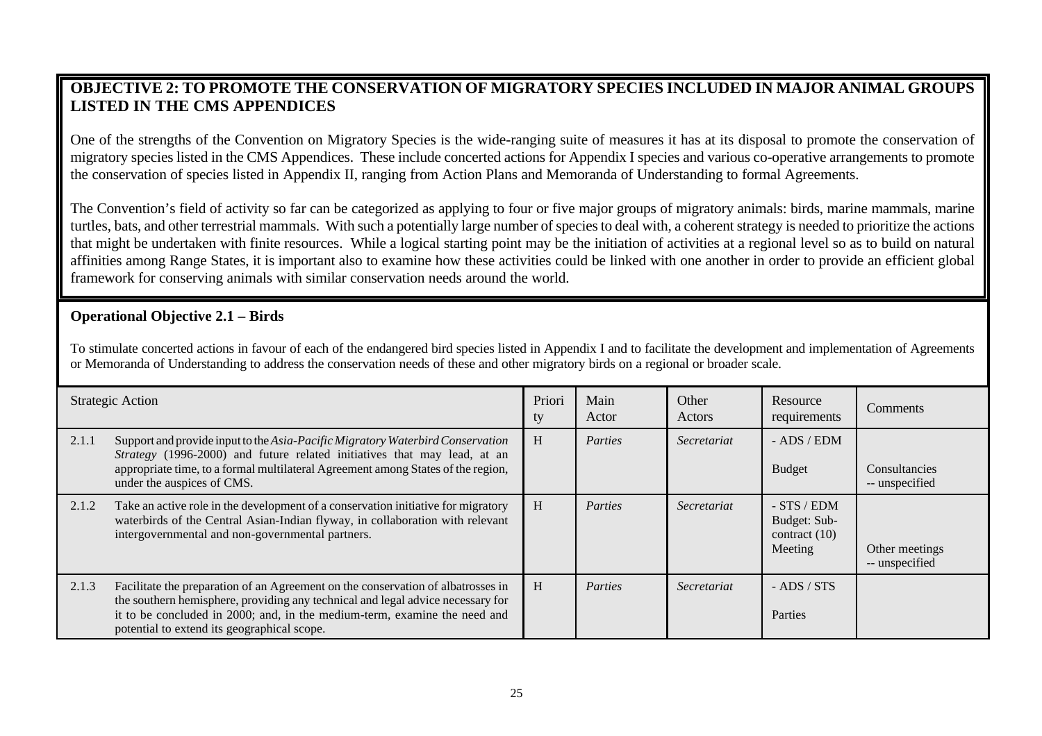# **OBJECTIVE 2: TO PROMOTE THE CONSERVATION OF MIGRATORY SPECIES INCLUDED IN MAJOR ANIMAL GROUPS LISTED IN THE CMS APPENDICES**

One of the strengths of the Convention on Migratory Species is the wide-ranging suite of measures it has at its disposal to promote the conservation of migratory species listed in the CMS Appendices. These include concerted actions for Appendix I species and various co-operative arrangements to promote the conservation of species listed in Appendix II, ranging from Action Plans and Memoranda of Understanding to formal Agreements.

The Convention's field of activity so far can be categorized as applying to four or five major groups of migratory animals: birds, marine mammals, marine turtles, bats, and other terrestrial mammals. With such a potentially large number of species to deal with, a coherent strategy is needed to prioritize the actions that might be undertaken with finite resources. While a logical starting point may be the initiation of activities at a regional level so as to build on natural affinities among Range States, it is important also to examine how these activities could be linked with one another in order to provide an efficient global framework for conserving animals with similar conservation needs around the world.

#### **Operational Objective 2.1 – Birds**

To stimulate concerted actions in favour of each of the endangered bird species listed in Appendix I and to facilitate the development and implementation of Agreements or Memoranda of Understanding to address the conservation needs of these and other migratory birds on a regional or broader scale.

|       | <b>Strategic Action</b>                                                                                                                                                                                                                                                                         | Priori<br>ty | Main<br>Actor | Other<br>Actors | Resource<br>requirements                                    | Comments                         |
|-------|-------------------------------------------------------------------------------------------------------------------------------------------------------------------------------------------------------------------------------------------------------------------------------------------------|--------------|---------------|-----------------|-------------------------------------------------------------|----------------------------------|
| 2.1.1 | Support and provide input to the Asia-Pacific Migratory Waterbird Conservation<br>Strategy (1996-2000) and future related initiatives that may lead, at an<br>appropriate time, to a formal multilateral Agreement among States of the region,<br>under the auspices of CMS.                    | H            | Parties       | Secretariat     | $-$ ADS $/$ EDM<br><b>Budget</b>                            | Consultancies<br>-- unspecified  |
| 2.1.2 | Take an active role in the development of a conservation initiative for migratory<br>waterbirds of the Central Asian-Indian flyway, in collaboration with relevant<br>intergovernmental and non-governmental partners.                                                                          | H            | Parties       | Secretariat     | $-$ STS / EDM<br>Budget: Sub-<br>contract $(10)$<br>Meeting | Other meetings<br>-- unspecified |
| 2.1.3 | Facilitate the preparation of an Agreement on the conservation of albatrosses in<br>the southern hemisphere, providing any technical and legal advice necessary for<br>it to be concluded in 2000; and, in the medium-term, examine the need and<br>potential to extend its geographical scope. | H            | Parties       | Secretariat     | $-$ ADS $/$ STS<br>Parties                                  |                                  |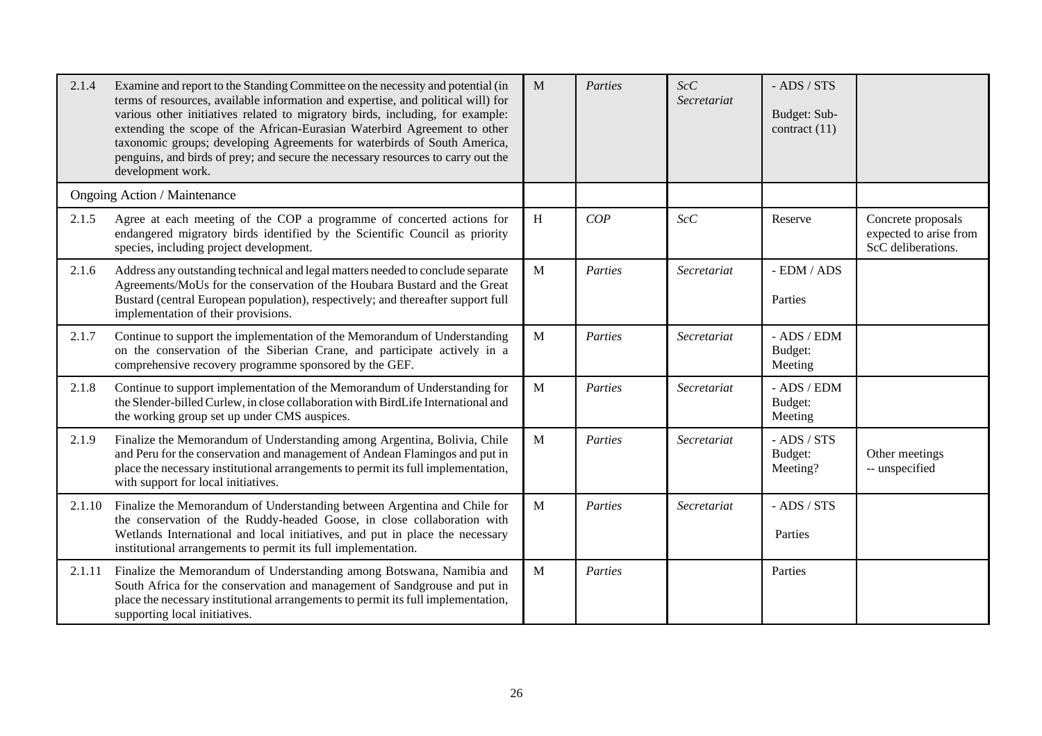| 2.1.4  | Examine and report to the Standing Committee on the necessity and potential (in<br>terms of resources, available information and expertise, and political will) for<br>various other initiatives related to migratory birds, including, for example:<br>extending the scope of the African-Eurasian Waterbird Agreement to other<br>taxonomic groups; developing Agreements for waterbirds of South America,<br>penguins, and birds of prey; and secure the necessary resources to carry out the<br>development work. | M                         | Parties | ScC<br>Secretariat | $-$ ADS $/$ STS<br>Budget: Sub-<br>contract $(11)$ |                                                                    |
|--------|-----------------------------------------------------------------------------------------------------------------------------------------------------------------------------------------------------------------------------------------------------------------------------------------------------------------------------------------------------------------------------------------------------------------------------------------------------------------------------------------------------------------------|---------------------------|---------|--------------------|----------------------------------------------------|--------------------------------------------------------------------|
|        | Ongoing Action / Maintenance                                                                                                                                                                                                                                                                                                                                                                                                                                                                                          |                           |         |                    |                                                    |                                                                    |
| 2.1.5  | Agree at each meeting of the COP a programme of concerted actions for<br>endangered migratory birds identified by the Scientific Council as priority<br>species, including project development.                                                                                                                                                                                                                                                                                                                       | $\boldsymbol{\mathrm{H}}$ | COP     | ScC                | Reserve                                            | Concrete proposals<br>expected to arise from<br>ScC deliberations. |
| 2.1.6  | Address any outstanding technical and legal matters needed to conclude separate<br>Agreements/MoUs for the conservation of the Houbara Bustard and the Great<br>Bustard (central European population), respectively; and thereafter support full<br>implementation of their provisions.                                                                                                                                                                                                                               | M                         | Parties | Secretariat        | - EDM / ADS<br>Parties                             |                                                                    |
| 2.1.7  | Continue to support the implementation of the Memorandum of Understanding<br>on the conservation of the Siberian Crane, and participate actively in a<br>comprehensive recovery programme sponsored by the GEF.                                                                                                                                                                                                                                                                                                       | M                         | Parties | Secretariat        | - ADS / EDM<br>Budget:<br>Meeting                  |                                                                    |
| 2.1.8  | Continue to support implementation of the Memorandum of Understanding for<br>the Slender-billed Curlew, in close collaboration with BirdLife International and<br>the working group set up under CMS auspices.                                                                                                                                                                                                                                                                                                        | M                         | Parties | Secretariat        | - ADS / EDM<br>Budget:<br>Meeting                  |                                                                    |
| 2.1.9  | Finalize the Memorandum of Understanding among Argentina, Bolivia, Chile<br>and Peru for the conservation and management of Andean Flamingos and put in<br>place the necessary institutional arrangements to permit its full implementation,<br>with support for local initiatives.                                                                                                                                                                                                                                   | M                         | Parties | Secretariat        | $-$ ADS $/$ STS<br>Budget:<br>Meeting?             | Other meetings<br>-- unspecified                                   |
| 2.1.10 | Finalize the Memorandum of Understanding between Argentina and Chile for<br>the conservation of the Ruddy-headed Goose, in close collaboration with<br>Wetlands International and local initiatives, and put in place the necessary<br>institutional arrangements to permit its full implementation.                                                                                                                                                                                                                  | M                         | Parties | Secretariat        | $-$ ADS $/$ STS<br>Parties                         |                                                                    |
| 2.1.11 | Finalize the Memorandum of Understanding among Botswana, Namibia and<br>South Africa for the conservation and management of Sandgrouse and put in<br>place the necessary institutional arrangements to permit its full implementation,<br>supporting local initiatives.                                                                                                                                                                                                                                               | M                         | Parties |                    | Parties                                            |                                                                    |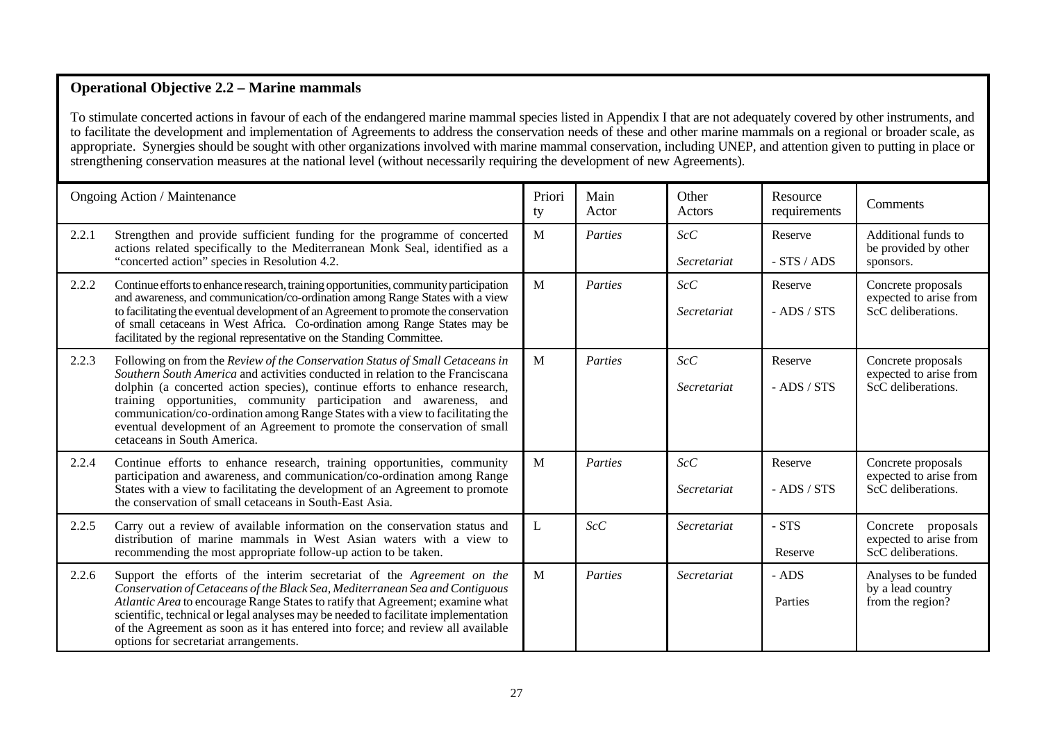#### **Operational Objective 2.2 – Marine mammals**

To stimulate concerted actions in favour of each of the endangered marine mammal species listed in Appendix I that are not adequately covered by other instruments, and to facilitate the development and implementation of Agreements to address the conservation needs of these and other marine mammals on a regional or broader scale, as appropriate. Synergies should be sought with other organizations involved with marine mammal conservation, including UNEP, and attention given to putting in place or strengthening conservation measures at the national level (without necessarily requiring the development of new Agreements).

|       | Ongoing Action / Maintenance                                                                                                                                                                                                                                                                                                                                                                                                                                                                                       | Priori<br>ty | Main<br>Actor | Other<br>Actors    | Resource<br>requirements   | Comments                                                           |
|-------|--------------------------------------------------------------------------------------------------------------------------------------------------------------------------------------------------------------------------------------------------------------------------------------------------------------------------------------------------------------------------------------------------------------------------------------------------------------------------------------------------------------------|--------------|---------------|--------------------|----------------------------|--------------------------------------------------------------------|
| 2.2.1 | Strengthen and provide sufficient funding for the programme of concerted<br>actions related specifically to the Mediterranean Monk Seal, identified as a<br>"concerted action" species in Resolution 4.2.                                                                                                                                                                                                                                                                                                          | M            | Parties       | ScC<br>Secretariat | Reserve<br>$-STS/ADS$      | Additional funds to<br>be provided by other<br>sponsors.           |
| 2.2.2 | Continue efforts to enhance research, training opportunities, community participation<br>and awareness, and communication/co-ordination among Range States with a view<br>to facilitating the eventual development of an Agreement to promote the conservation<br>of small cetaceans in West Africa. Co-ordination among Range States may be<br>facilitated by the regional representative on the Standing Committee.                                                                                              | M            | Parties       | ScC<br>Secretariat | Reserve<br>$-$ ADS $/$ STS | Concrete proposals<br>expected to arise from<br>ScC deliberations. |
| 2.2.3 | Following on from the Review of the Conservation Status of Small Cetaceans in<br>Southern South America and activities conducted in relation to the Franciscana<br>dolphin (a concerted action species), continue efforts to enhance research,<br>training opportunities, community participation and awareness, and<br>communication/co-ordination among Range States with a view to facilitating the<br>eventual development of an Agreement to promote the conservation of small<br>cetaceans in South America. | M            | Parties       | ScC<br>Secretariat | Reserve<br>$-$ ADS / STS   | Concrete proposals<br>expected to arise from<br>ScC deliberations. |
| 2.2.4 | Continue efforts to enhance research, training opportunities, community<br>participation and awareness, and communication/co-ordination among Range<br>States with a view to facilitating the development of an Agreement to promote<br>the conservation of small cetaceans in South-East Asia.                                                                                                                                                                                                                    | M            | Parties       | ScC<br>Secretariat | Reserve<br>$-$ ADS $/$ STS | Concrete proposals<br>expected to arise from<br>ScC deliberations. |
| 2.2.5 | Carry out a review of available information on the conservation status and<br>distribution of marine mammals in West Asian waters with a view to<br>recommending the most appropriate follow-up action to be taken.                                                                                                                                                                                                                                                                                                | L            | ScC           | Secretariat        | - STS<br>Reserve           | Concrete proposals<br>expected to arise from<br>ScC deliberations. |
| 2.2.6 | Support the efforts of the interim secretariat of the Agreement on the<br>Conservation of Cetaceans of the Black Sea, Mediterranean Sea and Contiguous<br>Atlantic Area to encourage Range States to ratify that Agreement; examine what<br>scientific, technical or legal analyses may be needed to facilitate implementation<br>of the Agreement as soon as it has entered into force; and review all available<br>options for secretariat arrangements.                                                         | M            | Parties       | Secretariat        | - ADS<br>Parties           | Analyses to be funded<br>by a lead country<br>from the region?     |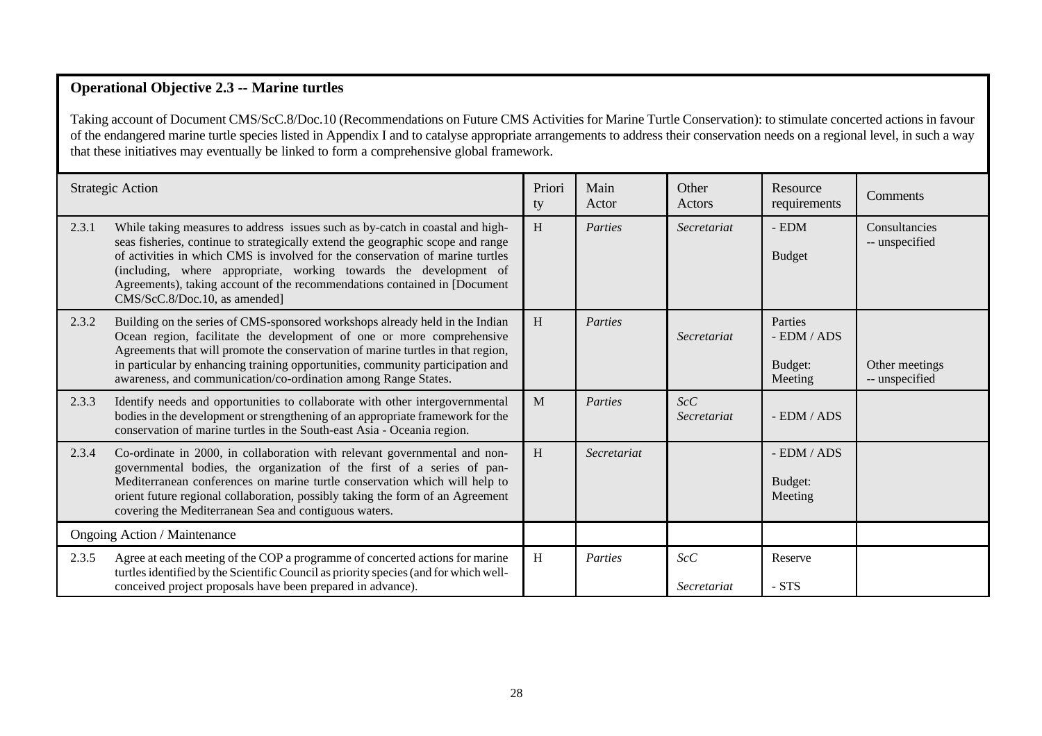#### **Operational Objective 2.3 -- Marine turtles**

Taking account of Document CMS/ScC.8/Doc.10 (Recommendations on Future CMS Activities for Marine Turtle Conservation): to stimulate concerted actions in favour of the endangered marine turtle species listed in Appendix I and to catalyse appropriate arrangements to address their conservation needs on a regional level, in such a way that these initiatives may eventually be linked to form a comprehensive global framework.

|       | <b>Strategic Action</b>                                                                                                                                                                                                                                                                                                                                                                                                              | Priori<br>ty | Main<br>Actor | Other<br>Actors    | Resource<br>requirements                         | Comments                         |
|-------|--------------------------------------------------------------------------------------------------------------------------------------------------------------------------------------------------------------------------------------------------------------------------------------------------------------------------------------------------------------------------------------------------------------------------------------|--------------|---------------|--------------------|--------------------------------------------------|----------------------------------|
| 2.3.1 | While taking measures to address issues such as by-catch in coastal and high-<br>seas fisheries, continue to strategically extend the geographic scope and range<br>of activities in which CMS is involved for the conservation of marine turtles<br>(including, where appropriate, working towards the development of<br>Agreements), taking account of the recommendations contained in [Document<br>CMS/ScC.8/Doc.10, as amended] | H            | Parties       | Secretariat        | $\mbox{-}\operatorname{EDM}$<br><b>Budget</b>    | Consultancies<br>-- unspecified  |
| 2.3.2 | Building on the series of CMS-sponsored workshops already held in the Indian<br>Ocean region, facilitate the development of one or more comprehensive<br>Agreements that will promote the conservation of marine turtles in that region,<br>in particular by enhancing training opportunities, community participation and<br>awareness, and communication/co-ordination among Range States.                                         | H            | Parties       | Secretariat        | Parties<br>$-$ EDM $/$ ADS<br>Budget:<br>Meeting | Other meetings<br>-- unspecified |
| 2.3.3 | Identify needs and opportunities to collaborate with other intergovernmental<br>bodies in the development or strengthening of an appropriate framework for the<br>conservation of marine turtles in the South-east Asia - Oceania region.                                                                                                                                                                                            | M            | Parties       | ScC<br>Secretariat | - EDM / ADS                                      |                                  |
| 2.3.4 | Co-ordinate in 2000, in collaboration with relevant governmental and non-<br>governmental bodies, the organization of the first of a series of pan-<br>Mediterranean conferences on marine turtle conservation which will help to<br>orient future regional collaboration, possibly taking the form of an Agreement<br>covering the Mediterranean Sea and contiguous waters.                                                         | H            | Secretariat   |                    | - EDM / ADS<br>Budget:<br>Meeting                |                                  |
|       | Ongoing Action / Maintenance                                                                                                                                                                                                                                                                                                                                                                                                         |              |               |                    |                                                  |                                  |
| 2.3.5 | Agree at each meeting of the COP a programme of concerted actions for marine<br>turtles identified by the Scientific Council as priority species (and for which well-<br>conceived project proposals have been prepared in advance).                                                                                                                                                                                                 | H            | Parties       | ScC<br>Secretariat | Reserve<br>- STS                                 |                                  |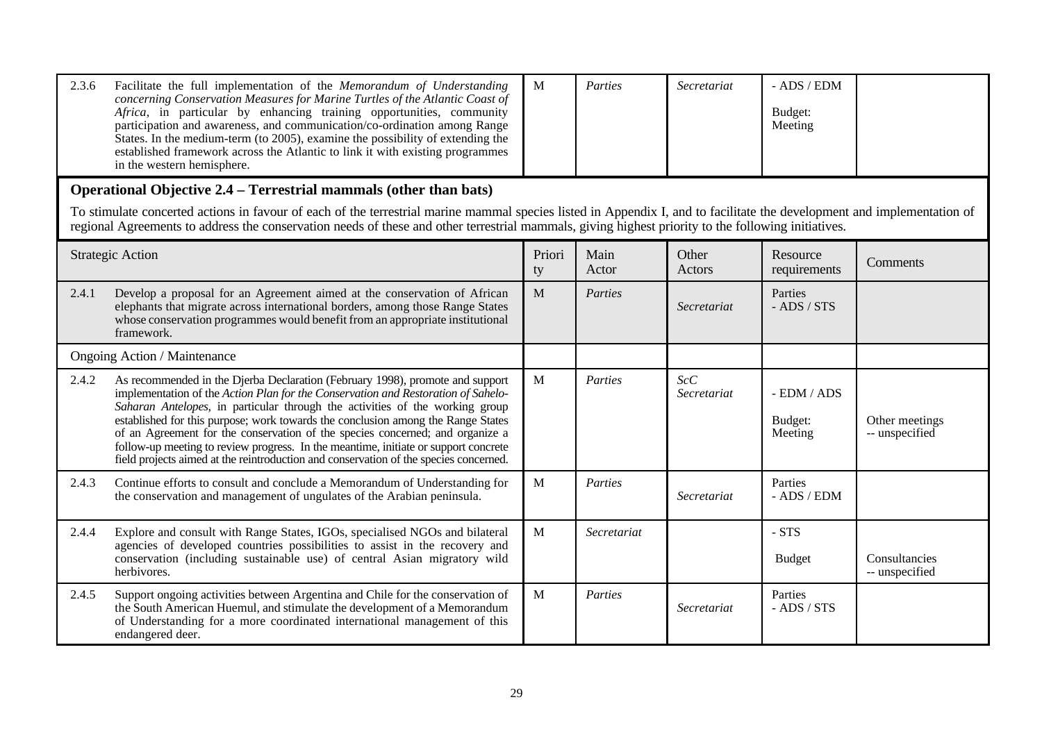| 2.3.6 | Facilitate the full implementation of the Memorandum of Understanding<br>concerning Conservation Measures for Marine Turtles of the Atlantic Coast of<br>Africa, in particular by enhancing training opportunities, community<br>participation and awareness, and communication/co-ordination among Range<br>States. In the medium-term (to 2005), examine the possibility of extending the<br>established framework across the Atlantic to link it with existing programmes<br>in the western hemisphere.                                                                                              | M            | Parties       | Secretariat        | $-$ ADS $/$ EDM<br>Budget:<br>Meeting |                                  |  |  |  |
|-------|---------------------------------------------------------------------------------------------------------------------------------------------------------------------------------------------------------------------------------------------------------------------------------------------------------------------------------------------------------------------------------------------------------------------------------------------------------------------------------------------------------------------------------------------------------------------------------------------------------|--------------|---------------|--------------------|---------------------------------------|----------------------------------|--|--|--|
|       | Operational Objective 2.4 – Terrestrial mammals (other than bats)                                                                                                                                                                                                                                                                                                                                                                                                                                                                                                                                       |              |               |                    |                                       |                                  |  |  |  |
|       | To stimulate concerted actions in favour of each of the terrestrial marine mammal species listed in Appendix I, and to facilitate the development and implementation of<br>regional Agreements to address the conservation needs of these and other terrestrial mammals, giving highest priority to the following initiatives.                                                                                                                                                                                                                                                                          |              |               |                    |                                       |                                  |  |  |  |
|       | <b>Strategic Action</b>                                                                                                                                                                                                                                                                                                                                                                                                                                                                                                                                                                                 | Priori<br>ty | Main<br>Actor | Other<br>Actors    | Resource<br>requirements              | Comments                         |  |  |  |
| 2.4.1 | Develop a proposal for an Agreement aimed at the conservation of African<br>elephants that migrate across international borders, among those Range States<br>whose conservation programmes would benefit from an appropriate institutional<br>framework.                                                                                                                                                                                                                                                                                                                                                | M            | Parties       | Secretariat        | Parties<br>$-$ ADS $/$ STS            |                                  |  |  |  |
|       | Ongoing Action / Maintenance                                                                                                                                                                                                                                                                                                                                                                                                                                                                                                                                                                            |              |               |                    |                                       |                                  |  |  |  |
| 2.4.2 | As recommended in the Djerba Declaration (February 1998), promote and support<br>implementation of the Action Plan for the Conservation and Restoration of Sahelo-<br>Saharan Antelopes, in particular through the activities of the working group<br>established for this purpose; work towards the conclusion among the Range States<br>of an Agreement for the conservation of the species concerned; and organize a<br>follow-up meeting to review progress. In the meantime, initiate or support concrete<br>field projects aimed at the reintroduction and conservation of the species concerned. | $\mathbf{M}$ | Parties       | ScC<br>Secretariat | - EDM / ADS<br>Budget:<br>Meeting     | Other meetings<br>-- unspecified |  |  |  |
| 2.4.3 | Continue efforts to consult and conclude a Memorandum of Understanding for<br>the conservation and management of ungulates of the Arabian peninsula.                                                                                                                                                                                                                                                                                                                                                                                                                                                    | M            | Parties       | Secretariat        | Parties<br>- ADS / EDM                |                                  |  |  |  |
| 2.4.4 | Explore and consult with Range States, IGOs, specialised NGOs and bilateral<br>agencies of developed countries possibilities to assist in the recovery and<br>conservation (including sustainable use) of central Asian migratory wild<br>herbivores.                                                                                                                                                                                                                                                                                                                                                   | $\mathbf{M}$ | Secretariat   |                    | $-STS$<br><b>Budget</b>               | Consultancies<br>-- unspecified  |  |  |  |
| 2.4.5 | Support ongoing activities between Argentina and Chile for the conservation of<br>the South American Huemul, and stimulate the development of a Memorandum<br>of Understanding for a more coordinated international management of this<br>endangered deer.                                                                                                                                                                                                                                                                                                                                              | $\mathbf{M}$ | Parties       | Secretariat        | Parties<br>$-$ ADS $/$ STS            |                                  |  |  |  |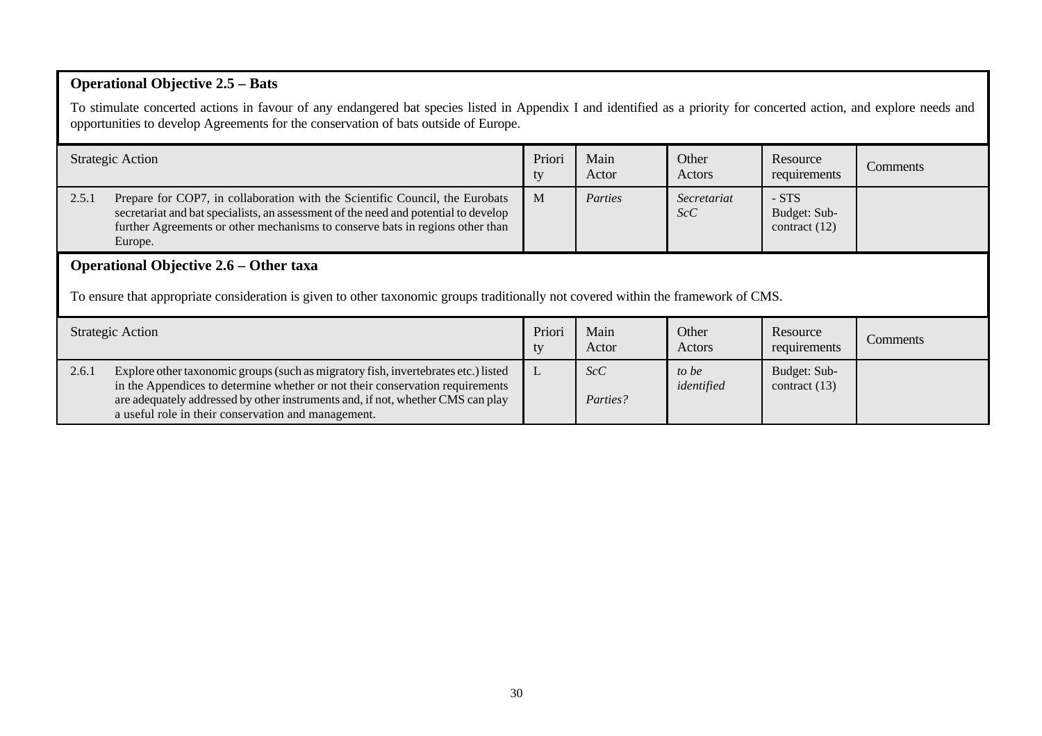# **Operational Objective 2.5 – Bats**

To stimulate concerted actions in favour of any endangered bat species listed in Appendix I and identified as a priority for concerted action, and explore needs and opportunities to develop Agreements for the conservation of bats outside of Europe.

|       | <b>Strategic Action</b>                                                                                                                                                                                                                                                                                       | Priori<br>ty | Main<br>Actor   | Other<br>Actors     | Resource<br>requirements                   | Comments |  |  |
|-------|---------------------------------------------------------------------------------------------------------------------------------------------------------------------------------------------------------------------------------------------------------------------------------------------------------------|--------------|-----------------|---------------------|--------------------------------------------|----------|--|--|
| 2.5.1 | Prepare for COP7, in collaboration with the Scientific Council, the Eurobats<br>secretariat and bat specialists, an assessment of the need and potential to develop<br>further Agreements or other mechanisms to conserve bats in regions other than<br>Europe.                                               | $\mathbf{M}$ | Parties         | Secretariat<br>ScC  | $- STS$<br>Budget: Sub-<br>contract $(12)$ |          |  |  |
|       | <b>Operational Objective 2.6 – Other taxa</b><br>To ensure that appropriate consideration is given to other taxonomic groups traditionally not covered within the framework of CMS.                                                                                                                           |              |                 |                     |                                            |          |  |  |
|       | <b>Strategic Action</b>                                                                                                                                                                                                                                                                                       | Priori<br>ty | Main<br>Actor   | Other<br>Actors     | Resource<br>requirements                   | Comments |  |  |
| 2.6.1 | Explore other taxonomic groups (such as migratory fish, invertebrates etc.) listed<br>in the Appendices to determine whether or not their conservation requirements<br>are adequately addressed by other instruments and, if not, whether CMS can play<br>a useful role in their conservation and management. | L            | ScC<br>Parties? | to be<br>identified | Budget: Sub-<br>contract $(13)$            |          |  |  |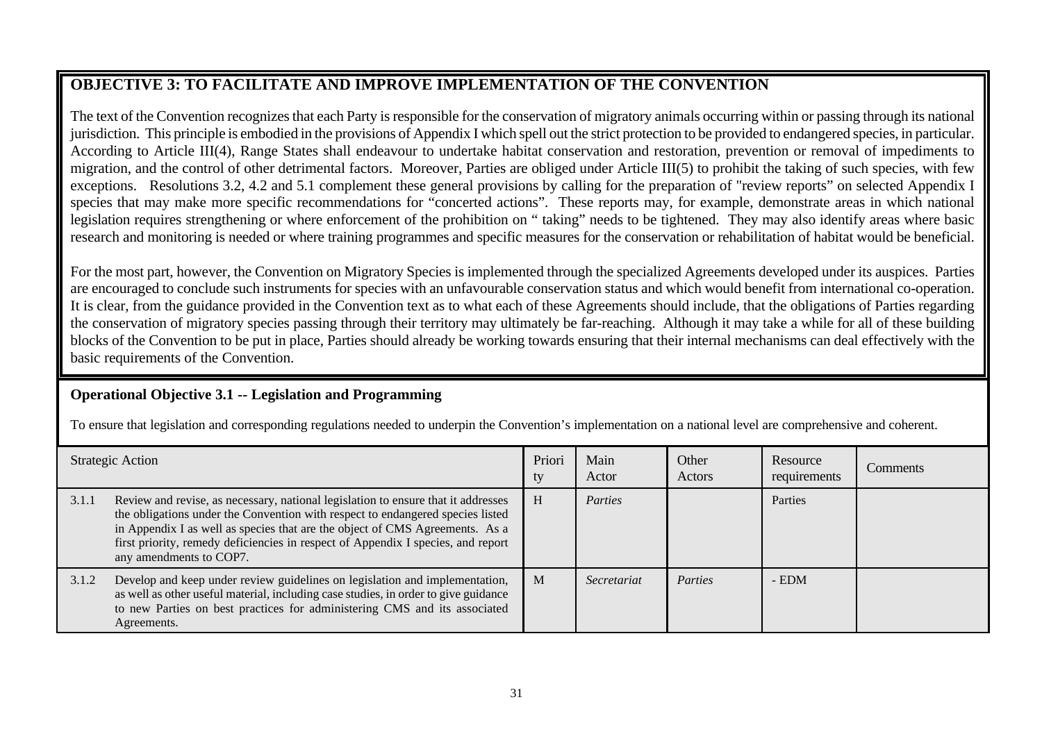# **OBJECTIVE 3: TO FACILITATE AND IMPROVE IMPLEMENTATION OF THE CONVENTION**

The text of the Convention recognizes that each Party is responsible for the conservation of migratory animals occurring within or passing through its national jurisdiction. This principle is embodied in the provisions of Appendix I which spell out the strict protection to be provided to endangered species, in particular. According to Article III(4), Range States shall endeavour to undertake habitat conservation and restoration, prevention or removal of impediments to migration, and the control of other detrimental factors. Moreover, Parties are obliged under Article III(5) to prohibit the taking of such species, with few exceptions. Resolutions 3.2, 4.2 and 5.1 complement these general provisions by calling for the preparation of "review reports" on selected Appendix I species that may make more specific recommendations for "concerted actions". These reports may, for example, demonstrate areas in which national legislation requires strengthening or where enforcement of the prohibition on " taking" needs to be tightened. They may also identify areas where basic research and monitoring is needed or where training programmes and specific measures for the conservation or rehabilitation of habitat would be beneficial.

For the most part, however, the Convention on Migratory Species is implemented through the specialized Agreements developed under its auspices. Parties are encouraged to conclude such instruments for species with an unfavourable conservation status and which would benefit from international co-operation. It is clear, from the guidance provided in the Convention text as to what each of these Agreements should include, that the obligations of Parties regarding the conservation of migratory species passing through their territory may ultimately be far-reaching. Although it may take a while for all of these building blocks of the Convention to be put in place, Parties should already be working towards ensuring that their internal mechanisms can deal effectively with the basic requirements of the Convention.

# **Operational Objective 3.1 -- Legislation and Programming**

To ensure that legislation and corresponding regulations needed to underpin the Convention's implementation on a national level are comprehensive and coherent.

|       | <b>Strategic Action</b>                                                                                                                                                                                                                                                                                                                                            | Priori<br>ty | Main<br>Actor | Other<br>Actors | Resource<br>requirements | Comments |
|-------|--------------------------------------------------------------------------------------------------------------------------------------------------------------------------------------------------------------------------------------------------------------------------------------------------------------------------------------------------------------------|--------------|---------------|-----------------|--------------------------|----------|
| 3.1.1 | Review and revise, as necessary, national legislation to ensure that it addresses<br>the obligations under the Convention with respect to endangered species listed<br>in Appendix I as well as species that are the object of CMS Agreements. As a<br>first priority, remedy deficiencies in respect of Appendix I species, and report<br>any amendments to COP7. | H            | Parties       |                 | Parties                  |          |
| 3.1.2 | Develop and keep under review guidelines on legislation and implementation,<br>as well as other useful material, including case studies, in order to give guidance<br>to new Parties on best practices for administering CMS and its associated<br>Agreements.                                                                                                     | M            | Secretariat   | Parties         | $-$ EDM                  |          |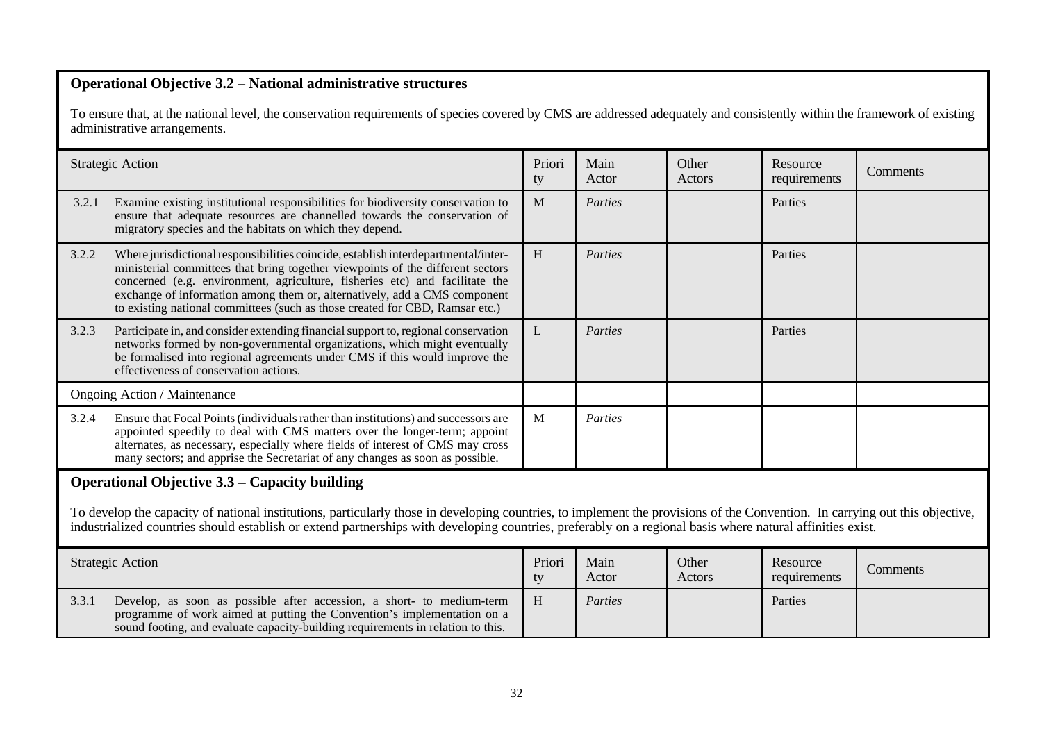## **Operational Objective 3.2 – National administrative structures**

To ensure that, at the national level, the conservation requirements of species covered by CMS are addressed adequately and consistently within the framework of existing administrative arrangements.

|       | <b>Strategic Action</b>                                                                                                                                                                                                                                                                                                                                                                                          | Priori<br>ty | Main<br>Actor | Other<br>Actors | Resource<br>requirements | Comments |  |  |
|-------|------------------------------------------------------------------------------------------------------------------------------------------------------------------------------------------------------------------------------------------------------------------------------------------------------------------------------------------------------------------------------------------------------------------|--------------|---------------|-----------------|--------------------------|----------|--|--|
| 3.2.1 | Examine existing institutional responsibilities for biodiversity conservation to<br>ensure that adequate resources are channelled towards the conservation of<br>migratory species and the habitats on which they depend.                                                                                                                                                                                        | M            | Parties       |                 | Parties                  |          |  |  |
| 3.2.2 | Where jurisdictional responsibilities coincide, establish interdepartmental/inter-<br>ministerial committees that bring together viewpoints of the different sectors<br>concerned (e.g. environment, agriculture, fisheries etc) and facilitate the<br>exchange of information among them or, alternatively, add a CMS component<br>to existing national committees (such as those created for CBD, Ramsar etc.) | H            | Parties       |                 | Parties                  |          |  |  |
| 3.2.3 | Participate in, and consider extending financial support to, regional conservation<br>networks formed by non-governmental organizations, which might eventually<br>be formalised into regional agreements under CMS if this would improve the<br>effectiveness of conservation actions.                                                                                                                          | L            | Parties       |                 | Parties                  |          |  |  |
|       | <b>Ongoing Action / Maintenance</b>                                                                                                                                                                                                                                                                                                                                                                              |              |               |                 |                          |          |  |  |
| 3.2.4 | Ensure that Focal Points (individuals rather than institutions) and successors are<br>appointed speedily to deal with CMS matters over the longer-term; appoint<br>alternates, as necessary, especially where fields of interest of CMS may cross<br>many sectors; and apprise the Secretariat of any changes as soon as possible.                                                                               | M            | Parties       |                 |                          |          |  |  |
|       | <b>Operational Objective 3.3 – Capacity building</b>                                                                                                                                                                                                                                                                                                                                                             |              |               |                 |                          |          |  |  |
|       | To develop the capacity of national institutions, particularly those in developing countries, to implement the provisions of the Convention. In carrying out this objective,<br>industrialized countries should establish or extend partnerships with developing countries, preferably on a regional basis where natural affinities exist.                                                                       |              |               |                 |                          |          |  |  |
|       | <b>Strategic Action</b>                                                                                                                                                                                                                                                                                                                                                                                          | Priori<br>ty | Main<br>Actor | Other<br>Actors | Resource<br>requirements | Comments |  |  |
| 3.3.1 | Develop, as soon as possible after accession, a short- to medium-term<br>programme of work aimed at putting the Convention's implementation on a<br>sound footing, and evaluate capacity-building requirements in relation to this.                                                                                                                                                                              | H            | Parties       |                 | Parties                  |          |  |  |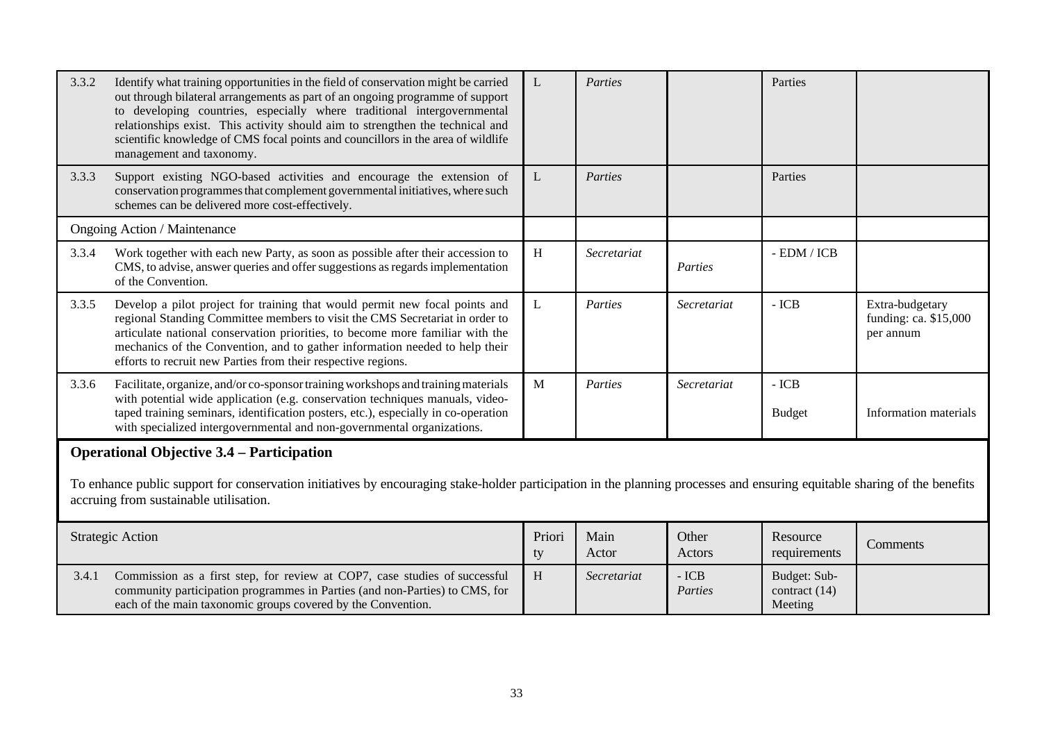| 3.3.2 | Identify what training opportunities in the field of conservation might be carried<br>out through bilateral arrangements as part of an ongoing programme of support<br>to developing countries, especially where traditional intergovernmental<br>relationships exist. This activity should aim to strengthen the technical and<br>scientific knowledge of CMS focal points and councillors in the area of wildlife<br>management and taxonomy. | L            | Parties       |                   | Parties                                  |                                                       |  |  |
|-------|-------------------------------------------------------------------------------------------------------------------------------------------------------------------------------------------------------------------------------------------------------------------------------------------------------------------------------------------------------------------------------------------------------------------------------------------------|--------------|---------------|-------------------|------------------------------------------|-------------------------------------------------------|--|--|
| 3.3.3 | Support existing NGO-based activities and encourage the extension of<br>conservation programmes that complement governmental initiatives, where such<br>schemes can be delivered more cost-effectively.                                                                                                                                                                                                                                         | L            | Parties       |                   | Parties                                  |                                                       |  |  |
|       | <b>Ongoing Action / Maintenance</b>                                                                                                                                                                                                                                                                                                                                                                                                             |              |               |                   |                                          |                                                       |  |  |
| 3.3.4 | Work together with each new Party, as soon as possible after their accession to<br>CMS, to advise, answer queries and offer suggestions as regards implementation<br>of the Convention.                                                                                                                                                                                                                                                         | H            | Secretariat   | Parties           | $-$ EDM $/$ ICB                          |                                                       |  |  |
| 3.3.5 | Develop a pilot project for training that would permit new focal points and<br>regional Standing Committee members to visit the CMS Secretariat in order to<br>articulate national conservation priorities, to become more familiar with the<br>mechanics of the Convention, and to gather information needed to help their<br>efforts to recruit new Parties from their respective regions.                                                    | L            | Parties       | Secretariat       | $-ICB$                                   | Extra-budgetary<br>funding: ca. \$15,000<br>per annum |  |  |
| 3.3.6 | Facilitate, organize, and/or co-sponsor training workshops and training materials<br>with potential wide application (e.g. conservation techniques manuals, video-<br>taped training seminars, identification posters, etc.), especially in co-operation<br>with specialized intergovernmental and non-governmental organizations.                                                                                                              | $\mathbf{M}$ | Parties       | Secretariat       | $-ICB$<br><b>Budget</b>                  | Information materials                                 |  |  |
|       | <b>Operational Objective 3.4 – Participation</b><br>To enhance public support for conservation initiatives by encouraging stake-holder participation in the planning processes and ensuring equitable sharing of the benefits<br>accruing from sustainable utilisation.                                                                                                                                                                         |              |               |                   |                                          |                                                       |  |  |
|       | <b>Strategic Action</b>                                                                                                                                                                                                                                                                                                                                                                                                                         | Priori<br>ty | Main<br>Actor | Other<br>Actors   | Resource<br>requirements                 | Comments                                              |  |  |
| 3.4.1 | Commission as a first step, for review at COP7, case studies of successful<br>community participation programmes in Parties (and non-Parties) to CMS, for<br>each of the main taxonomic groups covered by the Convention.                                                                                                                                                                                                                       | H            | Secretariat   | $-ICB$<br>Parties | Budget: Sub-<br>contract (14)<br>Meeting |                                                       |  |  |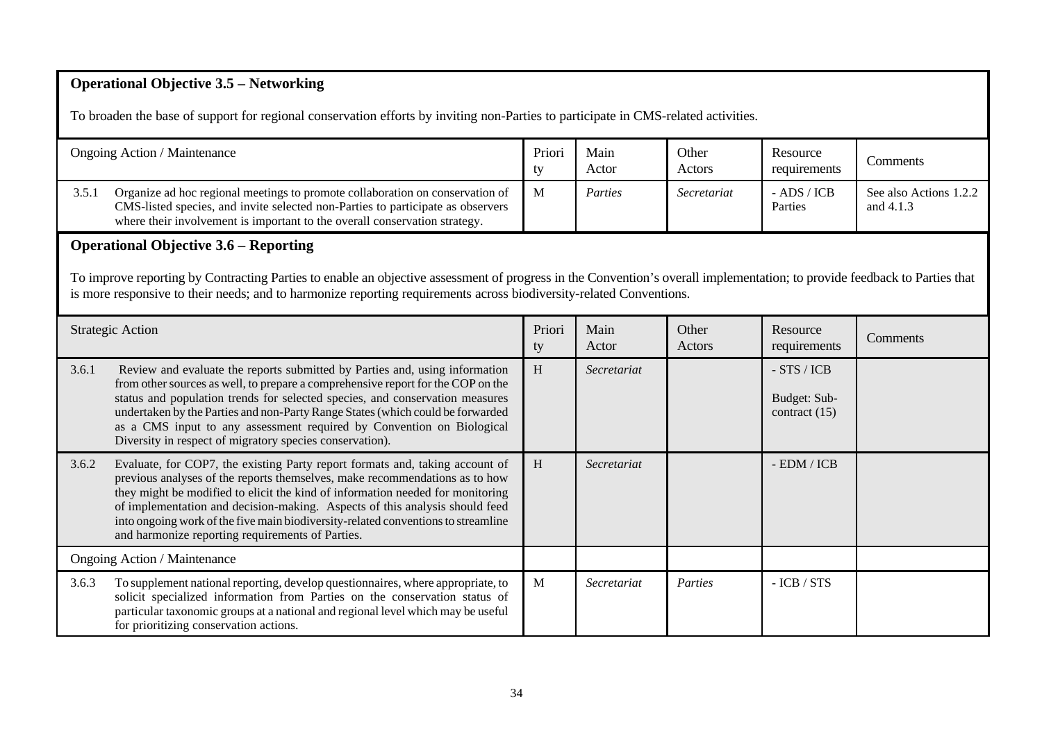# **Operational Objective 3.5 – Networking**

To broaden the base of support for regional conservation efforts by inviting non-Parties to participate in CMS-related activities.

|                                                                                                                                                                                                                                                                                                  | Ongoing Action / Maintenance                                                                                                                                                                                                                                                                                                                                                                                                                                           | Priori<br>ty | Main<br>Actor | Other<br>Actors | Resource<br>requirements                      | Comments                            |  |  |  |
|--------------------------------------------------------------------------------------------------------------------------------------------------------------------------------------------------------------------------------------------------------------------------------------------------|------------------------------------------------------------------------------------------------------------------------------------------------------------------------------------------------------------------------------------------------------------------------------------------------------------------------------------------------------------------------------------------------------------------------------------------------------------------------|--------------|---------------|-----------------|-----------------------------------------------|-------------------------------------|--|--|--|
| 3.5.1                                                                                                                                                                                                                                                                                            | Organize ad hoc regional meetings to promote collaboration on conservation of<br>CMS-listed species, and invite selected non-Parties to participate as observers<br>where their involvement is important to the overall conservation strategy.                                                                                                                                                                                                                         | M            | Parties       | Secretariat     | $-$ ADS / ICB<br>Parties                      | See also Actions 1.2.2<br>and 4.1.3 |  |  |  |
|                                                                                                                                                                                                                                                                                                  | <b>Operational Objective 3.6 – Reporting</b>                                                                                                                                                                                                                                                                                                                                                                                                                           |              |               |                 |                                               |                                     |  |  |  |
| To improve reporting by Contracting Parties to enable an objective assessment of progress in the Convention's overall implementation; to provide feedback to Parties that<br>is more responsive to their needs; and to harmonize reporting requirements across biodiversity-related Conventions. |                                                                                                                                                                                                                                                                                                                                                                                                                                                                        |              |               |                 |                                               |                                     |  |  |  |
|                                                                                                                                                                                                                                                                                                  | <b>Strategic Action</b>                                                                                                                                                                                                                                                                                                                                                                                                                                                | Priori<br>ty | Main<br>Actor | Other<br>Actors | Resource<br>requirements                      | Comments                            |  |  |  |
| 3.6.1                                                                                                                                                                                                                                                                                            | Review and evaluate the reports submitted by Parties and, using information<br>from other sources as well, to prepare a comprehensive report for the COP on the<br>status and population trends for selected species, and conservation measures<br>undertaken by the Parties and non-Party Range States (which could be forwarded<br>as a CMS input to any assessment required by Convention on Biological<br>Diversity in respect of migratory species conservation). | H            | Secretariat   |                 | $-STS/ICB$<br>Budget: Sub-<br>contract $(15)$ |                                     |  |  |  |
| 3.6.2                                                                                                                                                                                                                                                                                            | Evaluate, for COP7, the existing Party report formats and, taking account of<br>previous analyses of the reports themselves, make recommendations as to how<br>they might be modified to elicit the kind of information needed for monitoring<br>of implementation and decision-making. Aspects of this analysis should feed<br>into ongoing work of the five main biodiversity-related conventions to streamline<br>and harmonize reporting requirements of Parties.  | H            | Secretariat   |                 | - EDM / ICB                                   |                                     |  |  |  |
|                                                                                                                                                                                                                                                                                                  | Ongoing Action / Maintenance                                                                                                                                                                                                                                                                                                                                                                                                                                           |              |               |                 |                                               |                                     |  |  |  |
| 3.6.3                                                                                                                                                                                                                                                                                            | To supplement national reporting, develop questionnaires, where appropriate, to<br>solicit specialized information from Parties on the conservation status of<br>particular taxonomic groups at a national and regional level which may be useful<br>for prioritizing conservation actions.                                                                                                                                                                            | M            | Secretariat   | Parties         | $-ICB / STS$                                  |                                     |  |  |  |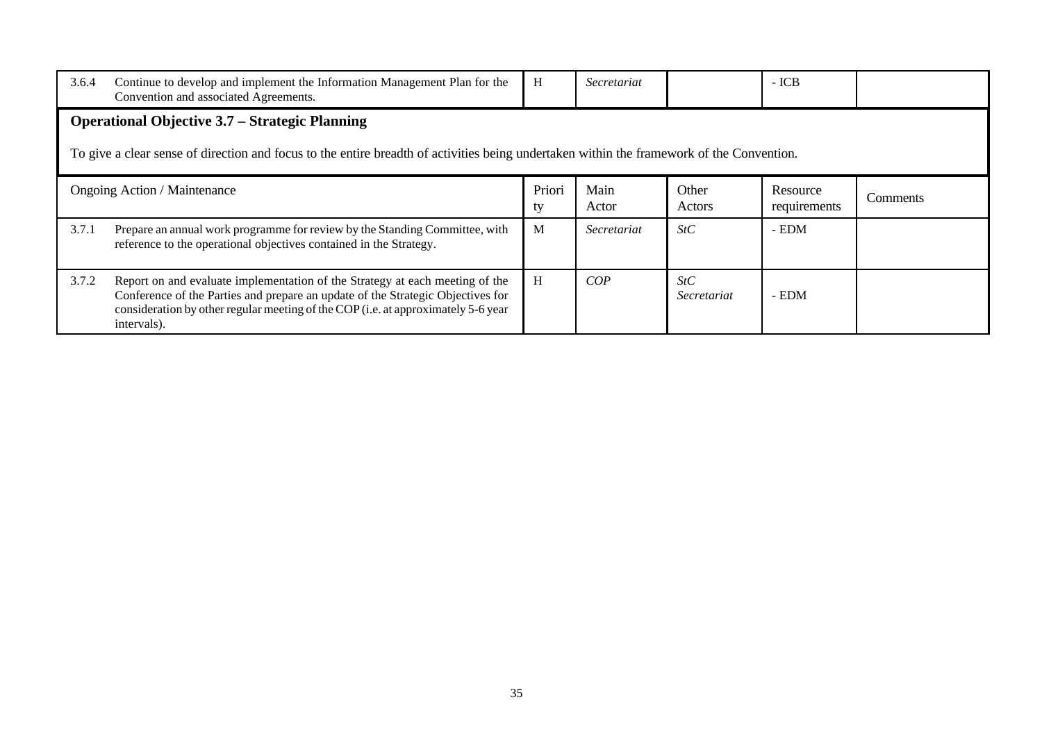| 3.6.4                                                                                                                                                                                              | Continue to develop and implement the Information Management Plan for the<br>Convention and associated Agreements.                                                                                                                                                  | H            | Secretariat   |                    | $-ICB$                   |          |  |  |
|----------------------------------------------------------------------------------------------------------------------------------------------------------------------------------------------------|---------------------------------------------------------------------------------------------------------------------------------------------------------------------------------------------------------------------------------------------------------------------|--------------|---------------|--------------------|--------------------------|----------|--|--|
| <b>Operational Objective 3.7 – Strategic Planning</b><br>To give a clear sense of direction and focus to the entire breadth of activities being undertaken within the framework of the Convention. |                                                                                                                                                                                                                                                                     |              |               |                    |                          |          |  |  |
|                                                                                                                                                                                                    | <b>Ongoing Action / Maintenance</b>                                                                                                                                                                                                                                 | Priori<br>ty | Main<br>Actor | Other<br>Actors    | Resource<br>requirements | Comments |  |  |
| 3.7.1                                                                                                                                                                                              | Prepare an annual work programme for review by the Standing Committee, with<br>reference to the operational objectives contained in the Strategy.                                                                                                                   | M            | Secretariat   | StC                | - EDM                    |          |  |  |
| 3.7.2                                                                                                                                                                                              | Report on and evaluate implementation of the Strategy at each meeting of the<br>Conference of the Parties and prepare an update of the Strategic Objectives for<br>consideration by other regular meeting of the COP (i.e. at approximately 5-6 year<br>intervals). | H            | COP           | StC<br>Secretariat | - EDM                    |          |  |  |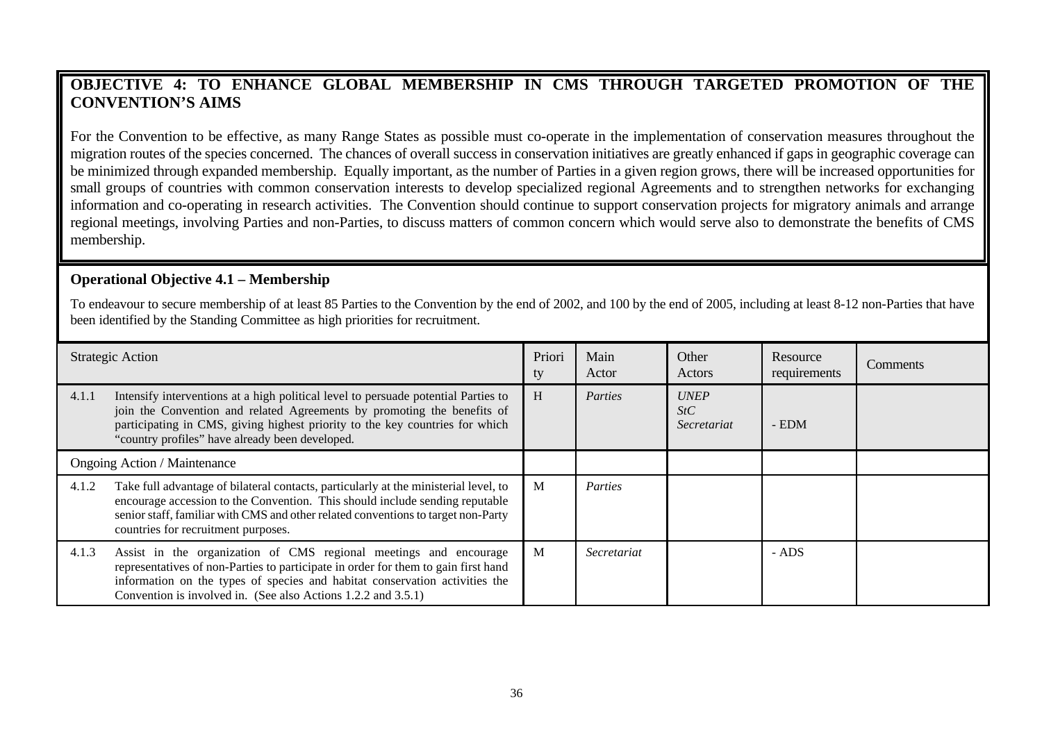# **OBJECTIVE 4: TO ENHANCE GLOBAL MEMBERSHIP IN CMS THROUGH TARGETED PROMOTION OF THE CONVENTION'S AIMS**

For the Convention to be effective, as many Range States as possible must co-operate in the implementation of conservation measures throughout the migration routes of the species concerned. The chances of overall success in conservation initiatives are greatly enhanced if gaps in geographic coverage can be minimized through expanded membership. Equally important, as the number of Parties in a given region grows, there will be increased opportunities for small groups of countries with common conservation interests to develop specialized regional Agreements and to strengthen networks for exchanging information and co-operating in research activities. The Convention should continue to support conservation projects for migratory animals and arrange regional meetings, involving Parties and non-Parties, to discuss matters of common concern which would serve also to demonstrate the benefits of CMS membership.

#### **Operational Objective 4.1 – Membership**

To endeavour to secure membership of at least 85 Parties to the Convention by the end of 2002, and 100 by the end of 2005, including at least 8-12 non-Parties that have been identified by the Standing Committee as high priorities for recruitment.

|                                     | <b>Strategic Action</b>                                                                                                                                                                                                                                                                                 | Priori<br>ty | Main<br>Actor | Other<br>Actors                   | Resource<br>requirements | Comments |
|-------------------------------------|---------------------------------------------------------------------------------------------------------------------------------------------------------------------------------------------------------------------------------------------------------------------------------------------------------|--------------|---------------|-----------------------------------|--------------------------|----------|
| 4.1.1                               | Intensify interventions at a high political level to persuade potential Parties to<br>join the Convention and related Agreements by promoting the benefits of<br>participating in CMS, giving highest priority to the key countries for which<br>"country profiles" have already been developed.        | H            | Parties       | <b>UNEP</b><br>StC<br>Secretariat | - EDM                    |          |
| <b>Ongoing Action / Maintenance</b> |                                                                                                                                                                                                                                                                                                         |              |               |                                   |                          |          |
| 4.1.2                               | Take full advantage of bilateral contacts, particularly at the ministerial level, to<br>encourage accession to the Convention. This should include sending reputable<br>senior staff, familiar with CMS and other related conventions to target non-Party<br>countries for recruitment purposes.        | M            | Parties       |                                   |                          |          |
| 4.1.3                               | Assist in the organization of CMS regional meetings and encourage<br>representatives of non-Parties to participate in order for them to gain first hand<br>information on the types of species and habitat conservation activities the<br>Convention is involved in. (See also Actions 1.2.2 and 3.5.1) | M            | Secretariat   |                                   | - ADS                    |          |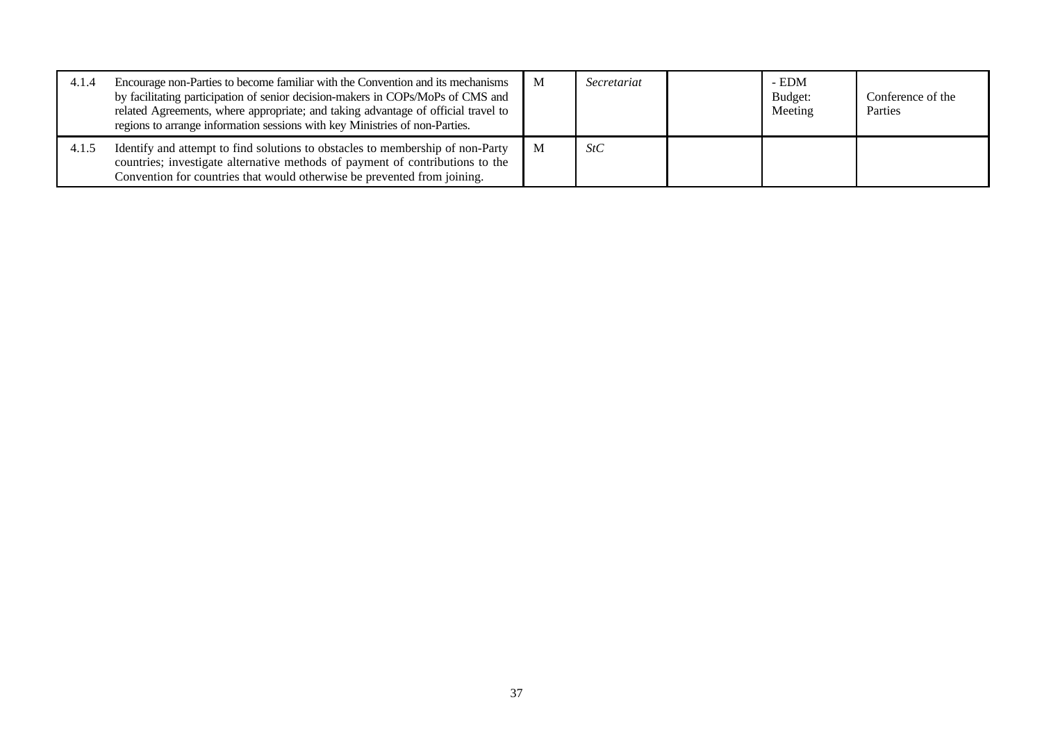| 4.1.4 | Encourage non-Parties to become familiar with the Convention and its mechanisms<br>by facilitating participation of senior decision-makers in COPs/MoPs of CMS and<br>related Agreements, where appropriate; and taking advantage of official travel to<br>regions to arrange information sessions with key Ministries of non-Parties. | $\mathbf{M}$ | Secretariat | - EDM<br>Budget:<br>Meeting | Conference of the<br>Parties |
|-------|----------------------------------------------------------------------------------------------------------------------------------------------------------------------------------------------------------------------------------------------------------------------------------------------------------------------------------------|--------------|-------------|-----------------------------|------------------------------|
| 4.1.5 | Identify and attempt to find solutions to obstacles to membership of non-Party<br>countries; investigate alternative methods of payment of contributions to the<br>Convention for countries that would otherwise be prevented from joining.                                                                                            | $\mathbf{M}$ | StC         |                             |                              |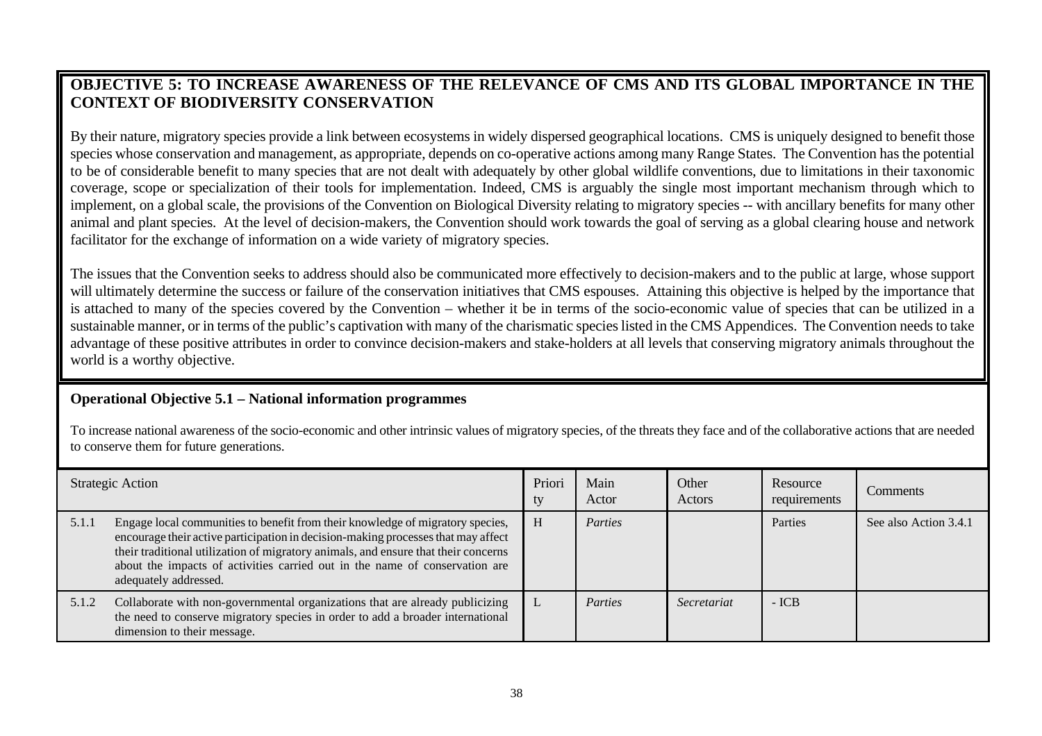# **OBJECTIVE 5: TO INCREASE AWARENESS OF THE RELEVANCE OF CMS AND ITS GLOBAL IMPORTANCE IN THE CONTEXT OF BIODIVERSITY CONSERVATION**

By their nature, migratory species provide a link between ecosystems in widely dispersed geographical locations. CMS is uniquely designed to benefit those species whose conservation and management, as appropriate, depends on co-operative actions among many Range States. The Convention has the potential to be of considerable benefit to many species that are not dealt with adequately by other global wildlife conventions, due to limitations in their taxonomic coverage, scope or specialization of their tools for implementation. Indeed, CMS is arguably the single most important mechanism through which to implement, on a global scale, the provisions of the Convention on Biological Diversity relating to migratory species -- with ancillary benefits for many other animal and plant species. At the level of decision-makers, the Convention should work towards the goal of serving as a global clearing house and network facilitator for the exchange of information on a wide variety of migratory species.

The issues that the Convention seeks to address should also be communicated more effectively to decision-makers and to the public at large, whose support will ultimately determine the success or failure of the conservation initiatives that CMS espouses. Attaining this objective is helped by the importance that is attached to many of the species covered by the Convention – whether it be in terms of the socio-economic value of species that can be utilized in a sustainable manner, or in terms of the public's captivation with many of the charismatic species listed in the CMS Appendices. The Convention needs to take advantage of these positive attributes in order to convince decision-makers and stake-holders at all levels that conserving migratory animals throughout the world is a worthy objective.

#### **Operational Objective 5.1 – National information programmes**

To increase national awareness of the socio-economic and other intrinsic values of migratory species, of the threats they face and of the collaborative actions that are needed to conserve them for future generations.

|       | <b>Strategic Action</b>                                                                                                                                                                                                                                                                                                                                           | Priori<br>ty | Main<br>Actor  | Other<br>Actors    | Resource<br>requirements | <b>Comments</b>       |
|-------|-------------------------------------------------------------------------------------------------------------------------------------------------------------------------------------------------------------------------------------------------------------------------------------------------------------------------------------------------------------------|--------------|----------------|--------------------|--------------------------|-----------------------|
| 5.1.1 | Engage local communities to benefit from their knowledge of migratory species,<br>encourage their active participation in decision-making processes that may affect<br>their traditional utilization of migratory animals, and ensure that their concerns<br>about the impacts of activities carried out in the name of conservation are<br>adequately addressed. | H            | <i>Parties</i> |                    | Parties                  | See also Action 3.4.1 |
| 5.1.2 | Collaborate with non-governmental organizations that are already publicizing<br>the need to conserve migratory species in order to add a broader international<br>dimension to their message.                                                                                                                                                                     | L            | Parties        | <i>Secretariat</i> | $-ICB$                   |                       |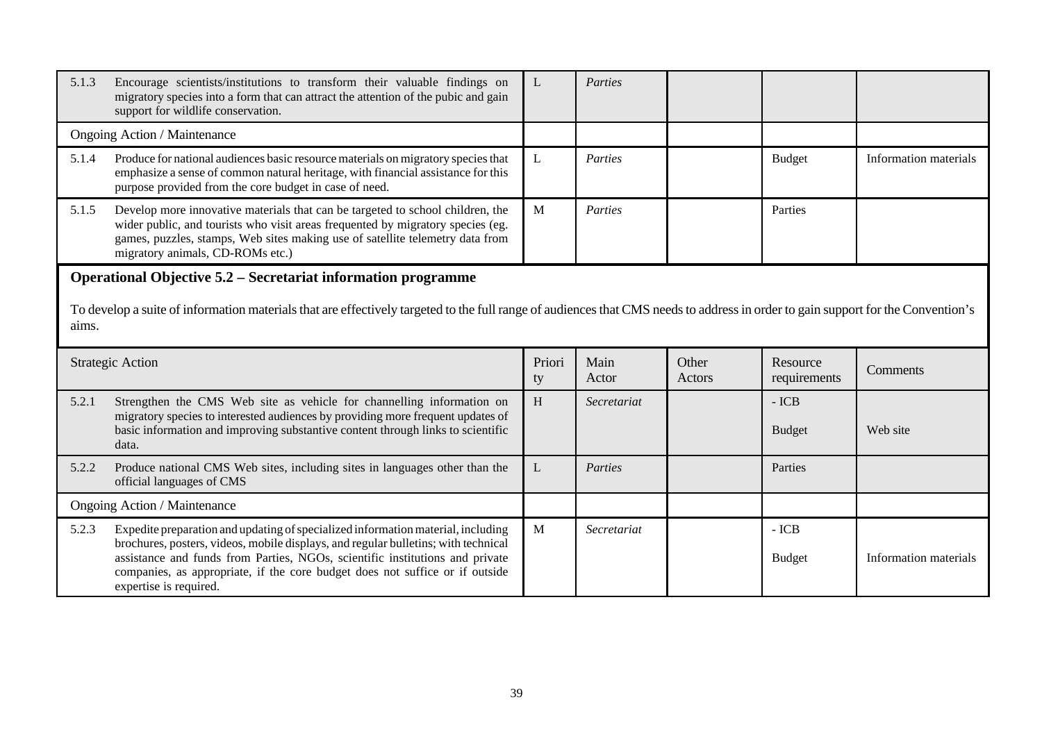| 5.1.3                                                                                                                                                                                                                                                             | Encourage scientists/institutions to transform their valuable findings on<br>migratory species into a form that can attract the attention of the pubic and gain<br>support for wildlife conservation.                                                                                  | L            | Parties       |                 |                          |                       |  |  |
|-------------------------------------------------------------------------------------------------------------------------------------------------------------------------------------------------------------------------------------------------------------------|----------------------------------------------------------------------------------------------------------------------------------------------------------------------------------------------------------------------------------------------------------------------------------------|--------------|---------------|-----------------|--------------------------|-----------------------|--|--|
|                                                                                                                                                                                                                                                                   | Ongoing Action / Maintenance                                                                                                                                                                                                                                                           |              |               |                 |                          |                       |  |  |
| 5.1.4                                                                                                                                                                                                                                                             | Produce for national audiences basic resource materials on migratory species that<br>emphasize a sense of common natural heritage, with financial assistance for this<br>purpose provided from the core budget in case of need.                                                        | L            | Parties       |                 | Budget                   | Information materials |  |  |
| 5.1.5                                                                                                                                                                                                                                                             | Develop more innovative materials that can be targeted to school children, the<br>wider public, and tourists who visit areas frequented by migratory species (eg.<br>games, puzzles, stamps, Web sites making use of satellite telemetry data from<br>migratory animals, CD-ROMs etc.) | M            | Parties       |                 | Parties                  |                       |  |  |
| <b>Operational Objective 5.2 – Secretariat information programme</b><br>To develop a suite of information materials that are effectively targeted to the full range of audiences that CMS needs to address in order to gain support for the Convention's<br>aims. |                                                                                                                                                                                                                                                                                        |              |               |                 |                          |                       |  |  |
|                                                                                                                                                                                                                                                                   |                                                                                                                                                                                                                                                                                        |              |               |                 |                          |                       |  |  |
|                                                                                                                                                                                                                                                                   | <b>Strategic Action</b>                                                                                                                                                                                                                                                                | Priori<br>ty | Main<br>Actor | Other<br>Actors | Resource<br>requirements | Comments              |  |  |
| 5.2.1                                                                                                                                                                                                                                                             | Strengthen the CMS Web site as vehicle for channelling information on<br>migratory species to interested audiences by providing more frequent updates of<br>basic information and improving substantive content through links to scientific<br>data.                                   | $\,$ H       | Secretariat   |                 | $-ICB$<br><b>Budget</b>  | Web site              |  |  |
| 5.2.2                                                                                                                                                                                                                                                             | Produce national CMS Web sites, including sites in languages other than the<br>official languages of CMS                                                                                                                                                                               | L            | Parties       |                 | Parties                  |                       |  |  |
|                                                                                                                                                                                                                                                                   | Ongoing Action / Maintenance                                                                                                                                                                                                                                                           |              |               |                 |                          |                       |  |  |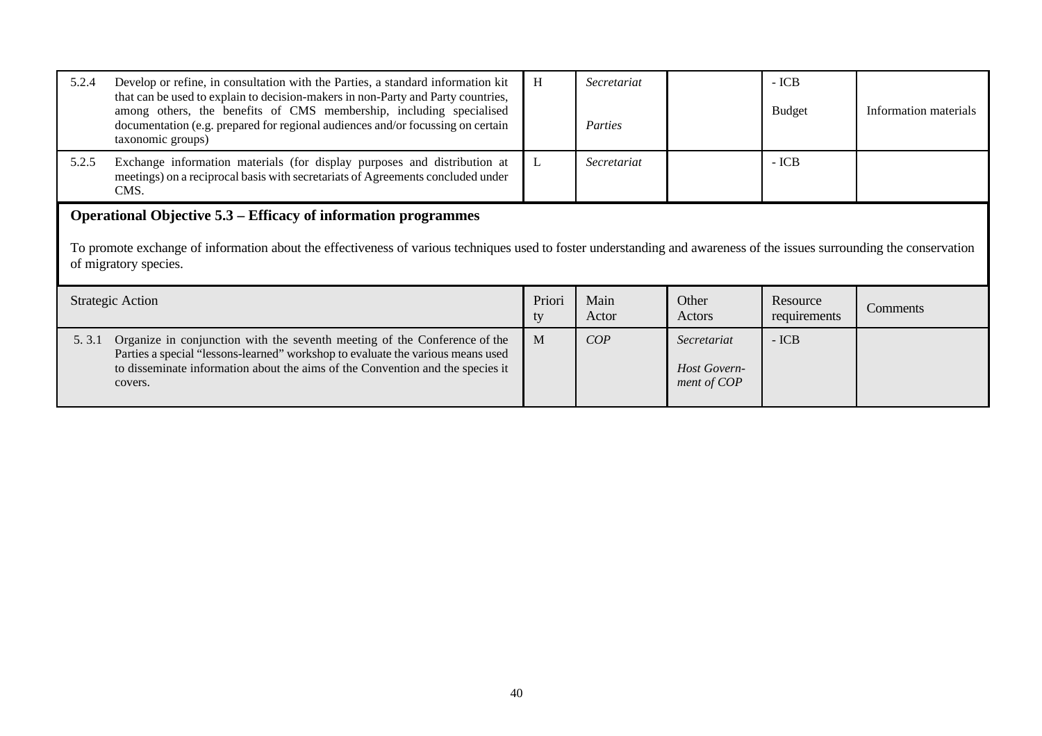| 5.2.4 | Develop or refine, in consultation with the Parties, a standard information kit<br>that can be used to explain to decision-makers in non-Party and Party countries,<br>among others, the benefits of CMS membership, including specialised<br>documentation (e.g. prepared for regional audiences and/or focussing on certain<br>taxonomic groups) | H            | Secretariat<br>Parties |                                            | $-ICB$<br><b>Budget</b>  | Information materials |  |  |  |
|-------|----------------------------------------------------------------------------------------------------------------------------------------------------------------------------------------------------------------------------------------------------------------------------------------------------------------------------------------------------|--------------|------------------------|--------------------------------------------|--------------------------|-----------------------|--|--|--|
| 5.2.5 | Exchange information materials (for display purposes and distribution at<br>meetings) on a reciprocal basis with secretariats of Agreements concluded under<br>CMS.                                                                                                                                                                                | L            | Secretariat            |                                            | $-ICB$                   |                       |  |  |  |
|       | <b>Operational Objective 5.3 – Efficacy of information programmes</b><br>To promote exchange of information about the effectiveness of various techniques used to foster understanding and awareness of the issues surrounding the conservation<br>of migratory species.                                                                           |              |                        |                                            |                          |                       |  |  |  |
|       | <b>Strategic Action</b>                                                                                                                                                                                                                                                                                                                            | Priori<br>ty | Main<br>Actor          | Other<br>Actors                            | Resource<br>requirements | Comments              |  |  |  |
| 5.3.1 | Organize in conjunction with the seventh meeting of the Conference of the<br>Parties a special "lessons-learned" workshop to evaluate the various means used<br>to disseminate information about the aims of the Convention and the species it<br>covers.                                                                                          | M            | COP                    | Secretariat<br>Host Govern-<br>ment of COP | $-ICB$                   |                       |  |  |  |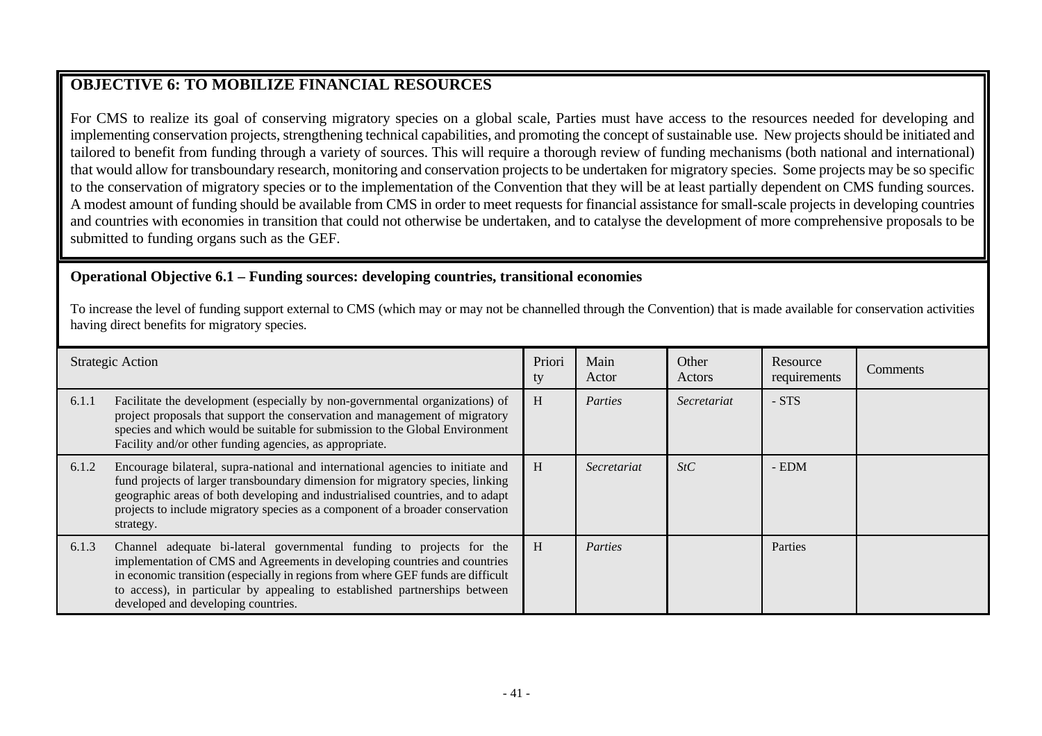# **OBJECTIVE 6: TO MOBILIZE FINANCIAL RESOURCES**

For CMS to realize its goal of conserving migratory species on a global scale, Parties must have access to the resources needed for developing and implementing conservation projects, strengthening technical capabilities, and promoting the concept of sustainable use. New projects should be initiated and tailored to benefit from funding through a variety of sources. This will require a thorough review of funding mechanisms (both national and international) that would allow for transboundary research, monitoring and conservation projects to be undertaken for migratory species. Some projects may be so specific to the conservation of migratory species or to the implementation of the Convention that they will be at least partially dependent on CMS funding sources. A modest amount of funding should be available from CMS in order to meet requests for financial assistance for small-scale projects in developing countries and countries with economies in transition that could not otherwise be undertaken, and to catalyse the development of more comprehensive proposals to be submitted to funding organs such as the GEF.

### **Operational Objective 6.1 – Funding sources: developing countries, transitional economies**

To increase the level of funding support external to CMS (which may or may not be channelled through the Convention) that is made available for conservation activities having direct benefits for migratory species.

|       | <b>Strategic Action</b>                                                                                                                                                                                                                                                                                                                                     | Priori<br>ty | Main<br>Actor | Other<br>Actors | Resource<br>requirements | Comments |
|-------|-------------------------------------------------------------------------------------------------------------------------------------------------------------------------------------------------------------------------------------------------------------------------------------------------------------------------------------------------------------|--------------|---------------|-----------------|--------------------------|----------|
| 6.1.1 | Facilitate the development (especially by non-governmental organizations) of<br>project proposals that support the conservation and management of migratory<br>species and which would be suitable for submission to the Global Environment<br>Facility and/or other funding agencies, as appropriate.                                                      | H            | Parties       | Secretariat     | $-STS$                   |          |
| 6.1.2 | Encourage bilateral, supra-national and international agencies to initiate and<br>fund projects of larger transboundary dimension for migratory species, linking<br>geographic areas of both developing and industrialised countries, and to adapt<br>projects to include migratory species as a component of a broader conservation<br>strategy.           | H            | Secretariat   | StC             | $-$ EDM                  |          |
| 6.1.3 | Channel adequate bi-lateral governmental funding to projects for the<br>implementation of CMS and Agreements in developing countries and countries<br>in economic transition (especially in regions from where GEF funds are difficult<br>to access), in particular by appealing to established partnerships between<br>developed and developing countries. | H            | Parties       |                 | Parties                  |          |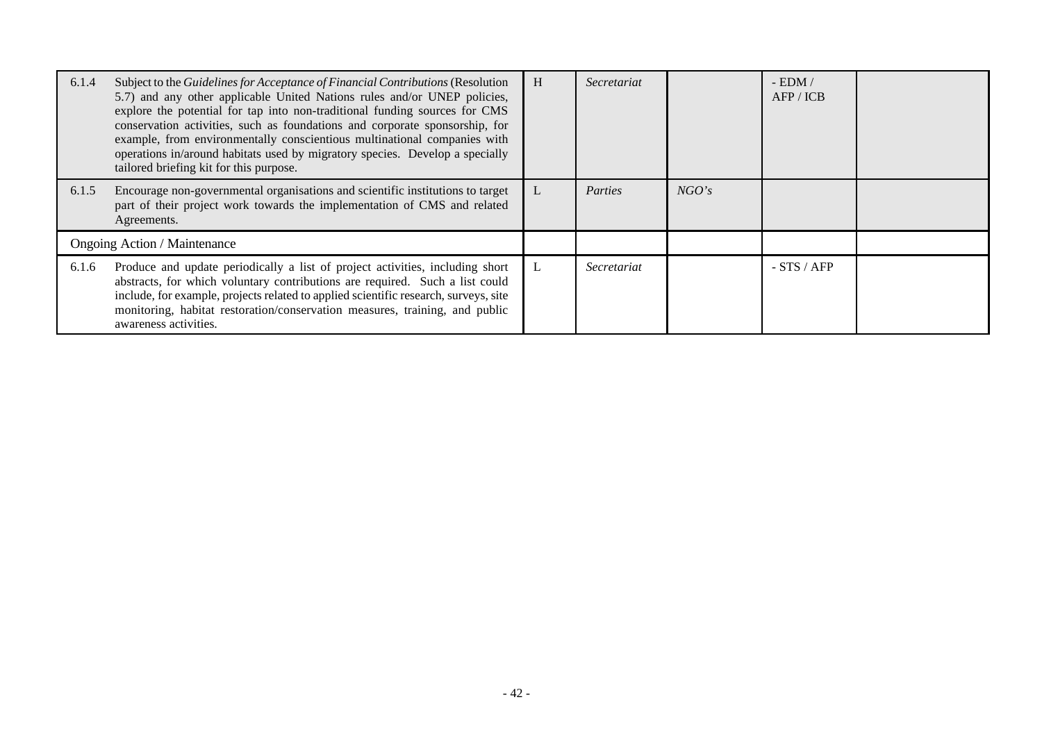| 6.1.4 | Subject to the Guidelines for Acceptance of Financial Contributions (Resolution<br>5.7) and any other applicable United Nations rules and/or UNEP policies,<br>explore the potential for tap into non-traditional funding sources for CMS<br>conservation activities, such as foundations and corporate sponsorship, for<br>example, from environmentally conscientious multinational companies with<br>operations in/around habitats used by migratory species. Develop a specially<br>tailored briefing kit for this purpose. | H | Secretariat |       | $-$ EDM $/$<br>AFP / ICB |  |
|-------|---------------------------------------------------------------------------------------------------------------------------------------------------------------------------------------------------------------------------------------------------------------------------------------------------------------------------------------------------------------------------------------------------------------------------------------------------------------------------------------------------------------------------------|---|-------------|-------|--------------------------|--|
| 6.1.5 | Encourage non-governmental organisations and scientific institutions to target<br>part of their project work towards the implementation of CMS and related<br>Agreements.                                                                                                                                                                                                                                                                                                                                                       | L | Parties     | NGO's |                          |  |
|       | <b>Ongoing Action / Maintenance</b>                                                                                                                                                                                                                                                                                                                                                                                                                                                                                             |   |             |       |                          |  |
| 6.1.6 | Produce and update periodically a list of project activities, including short<br>abstracts, for which voluntary contributions are required. Such a list could<br>include, for example, projects related to applied scientific research, surveys, site<br>monitoring, habitat restoration/conservation measures, training, and public<br>awareness activities.                                                                                                                                                                   | L | Secretariat |       | $-STS / AFP$             |  |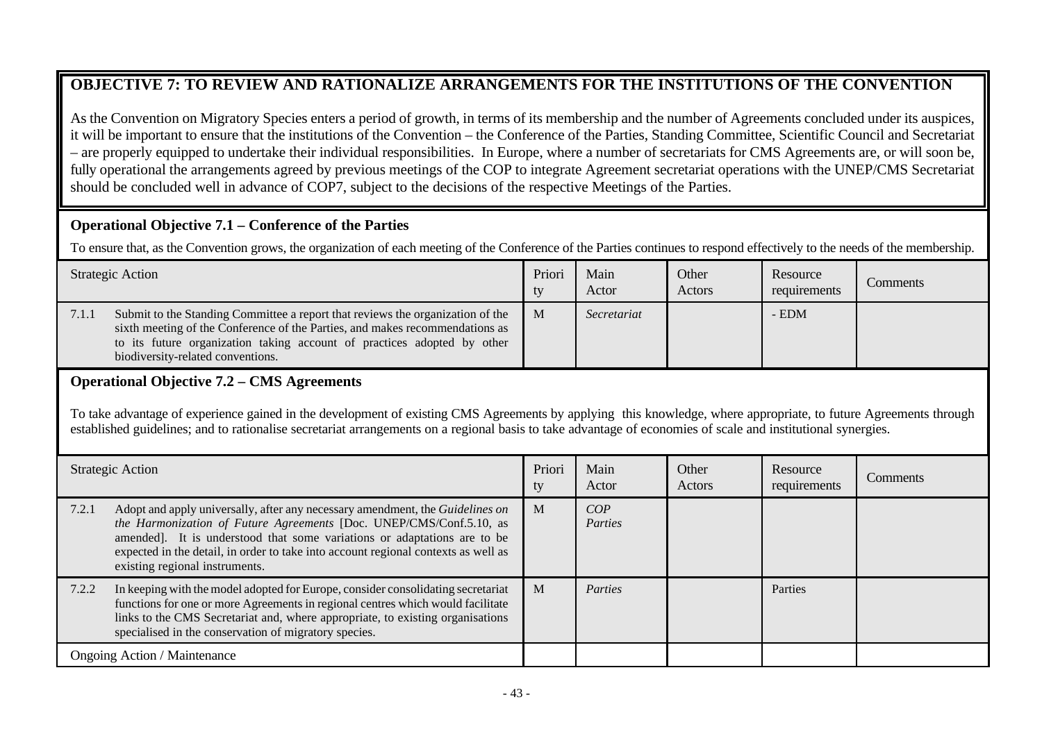# **OBJECTIVE 7: TO REVIEW AND RATIONALIZE ARRANGEMENTS FOR THE INSTITUTIONS OF THE CONVENTION**

As the Convention on Migratory Species enters a period of growth, in terms of its membership and the number of Agreements concluded under its auspices, it will be important to ensure that the institutions of the Convention – the Conference of the Parties, Standing Committee, Scientific Council and Secretariat – are properly equipped to undertake their individual responsibilities. In Europe, where a number of secretariats for CMS Agreements are, or will soon be, fully operational the arrangements agreed by previous meetings of the COP to integrate Agreement secretariat operations with the UNEP/CMS Secretariat should be concluded well in advance of COP7, subject to the decisions of the respective Meetings of the Parties.

### **Operational Objective 7.1 – Conference of the Parties**

To ensure that, as the Convention grows, the organization of each meeting of the Conference of the Parties continues to respond effectively to the needs of the membership.

|       | <b>Strategic Action</b>                                                                                                                                                                                                                                                        | Priori<br>tv | Main<br>Actor | Other<br>Actors | Resource<br>requirements | Comments |
|-------|--------------------------------------------------------------------------------------------------------------------------------------------------------------------------------------------------------------------------------------------------------------------------------|--------------|---------------|-----------------|--------------------------|----------|
| 7.1.1 | Submit to the Standing Committee a report that reviews the organization of the<br>sixth meeting of the Conference of the Parties, and makes recommendations as<br>to its future organization taking account of practices adopted by other<br>biodiversity-related conventions. | $\mathbf{M}$ | Secretariat   |                 | $-$ EDM                  |          |

# **Operational Objective 7.2 – CMS Agreements**

To take advantage of experience gained in the development of existing CMS Agreements by applying this knowledge, where appropriate, to future Agreements through established guidelines; and to rationalise secretariat arrangements on a regional basis to take advantage of economies of scale and institutional synergies.

|       | <b>Strategic Action</b>                                                                                                                                                                                                                                                                                                                                  | Priori<br>ty | Main<br>Actor  | Other<br>Actors | Resource<br>requirements | Comments |
|-------|----------------------------------------------------------------------------------------------------------------------------------------------------------------------------------------------------------------------------------------------------------------------------------------------------------------------------------------------------------|--------------|----------------|-----------------|--------------------------|----------|
| 7.2.1 | Adopt and apply universally, after any necessary amendment, the Guidelines on<br>the Harmonization of Future Agreements [Doc. UNEP/CMS/Conf.5.10, as<br>amended]. It is understood that some variations or adaptations are to be<br>expected in the detail, in order to take into account regional contexts as well as<br>existing regional instruments. | $\mathbf{M}$ | COP<br>Parties |                 |                          |          |
| 7.2.2 | In keeping with the model adopted for Europe, consider consolidating secretariat<br>functions for one or more Agreements in regional centres which would facilitate<br>links to the CMS Secretariat and, where appropriate, to existing organisations<br>specialised in the conservation of migratory species.                                           | M            | Parties        |                 | Parties                  |          |
|       | <b>Ongoing Action / Maintenance</b>                                                                                                                                                                                                                                                                                                                      |              |                |                 |                          |          |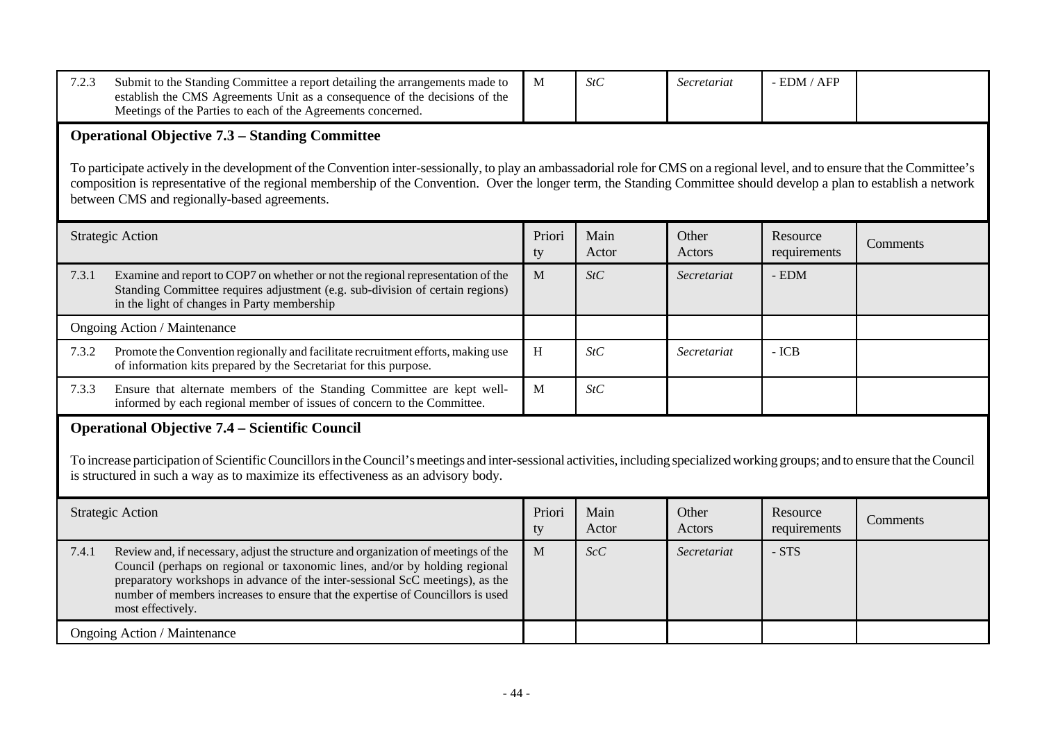| 7.2.3                                                                                                                                                                                                                                                                                                                                                                                                                                                           | Submit to the Standing Committee a report detailing the arrangements made to<br>establish the CMS Agreements Unit as a consequence of the decisions of the<br>Meetings of the Parties to each of the Agreements concerned.                                                                                                                                 | M            | StC           | Secretariat     | $-$ EDM $/$ AFP          |          |  |  |
|-----------------------------------------------------------------------------------------------------------------------------------------------------------------------------------------------------------------------------------------------------------------------------------------------------------------------------------------------------------------------------------------------------------------------------------------------------------------|------------------------------------------------------------------------------------------------------------------------------------------------------------------------------------------------------------------------------------------------------------------------------------------------------------------------------------------------------------|--------------|---------------|-----------------|--------------------------|----------|--|--|
| <b>Operational Objective 7.3 – Standing Committee</b><br>To participate actively in the development of the Convention inter-sessionally, to play an ambassadorial role for CMS on a regional level, and to ensure that the Committee's<br>composition is representative of the regional membership of the Convention. Over the longer term, the Standing Committee should develop a plan to establish a network<br>between CMS and regionally-based agreements. |                                                                                                                                                                                                                                                                                                                                                            |              |               |                 |                          |          |  |  |
| <b>Strategic Action</b>                                                                                                                                                                                                                                                                                                                                                                                                                                         |                                                                                                                                                                                                                                                                                                                                                            | Priori<br>ty | Main<br>Actor | Other<br>Actors | Resource<br>requirements | Comments |  |  |
| 7.3.1                                                                                                                                                                                                                                                                                                                                                                                                                                                           | Examine and report to COP7 on whether or not the regional representation of the<br>Standing Committee requires adjustment (e.g. sub-division of certain regions)<br>in the light of changes in Party membership                                                                                                                                            | $\mathbf{M}$ | StC           | Secretariat     | $-$ EDM                  |          |  |  |
|                                                                                                                                                                                                                                                                                                                                                                                                                                                                 | Ongoing Action / Maintenance                                                                                                                                                                                                                                                                                                                               |              |               |                 |                          |          |  |  |
| 7.3.2                                                                                                                                                                                                                                                                                                                                                                                                                                                           | Promote the Convention regionally and facilitate recruitment efforts, making use<br>of information kits prepared by the Secretariat for this purpose.                                                                                                                                                                                                      | H            | StC           | Secretariat     | $-ICB$                   |          |  |  |
| 7.3.3                                                                                                                                                                                                                                                                                                                                                                                                                                                           | Ensure that alternate members of the Standing Committee are kept well-<br>informed by each regional member of issues of concern to the Committee.                                                                                                                                                                                                          | $\mathbf{M}$ | StC           |                 |                          |          |  |  |
|                                                                                                                                                                                                                                                                                                                                                                                                                                                                 | <b>Operational Objective 7.4 – Scientific Council</b><br>To increase participation of Scientific Councillors in the Council's meetings and inter-sessional activities, including specialized working groups; and to ensure that the Council<br>is structured in such a way as to maximize its effectiveness as an advisory body.                           |              |               |                 |                          |          |  |  |
|                                                                                                                                                                                                                                                                                                                                                                                                                                                                 | <b>Strategic Action</b>                                                                                                                                                                                                                                                                                                                                    | Priori<br>ty | Main<br>Actor | Other<br>Actors | Resource<br>requirements | Comments |  |  |
| 7.4.1                                                                                                                                                                                                                                                                                                                                                                                                                                                           | Review and, if necessary, adjust the structure and organization of meetings of the<br>Council (perhaps on regional or taxonomic lines, and/or by holding regional<br>preparatory workshops in advance of the inter-sessional ScC meetings), as the<br>number of members increases to ensure that the expertise of Councillors is used<br>most effectively. | $\mathbf{M}$ | ScC           | Secretariat     | $- STS$                  |          |  |  |
|                                                                                                                                                                                                                                                                                                                                                                                                                                                                 | Ongoing Action / Maintenance                                                                                                                                                                                                                                                                                                                               |              |               |                 |                          |          |  |  |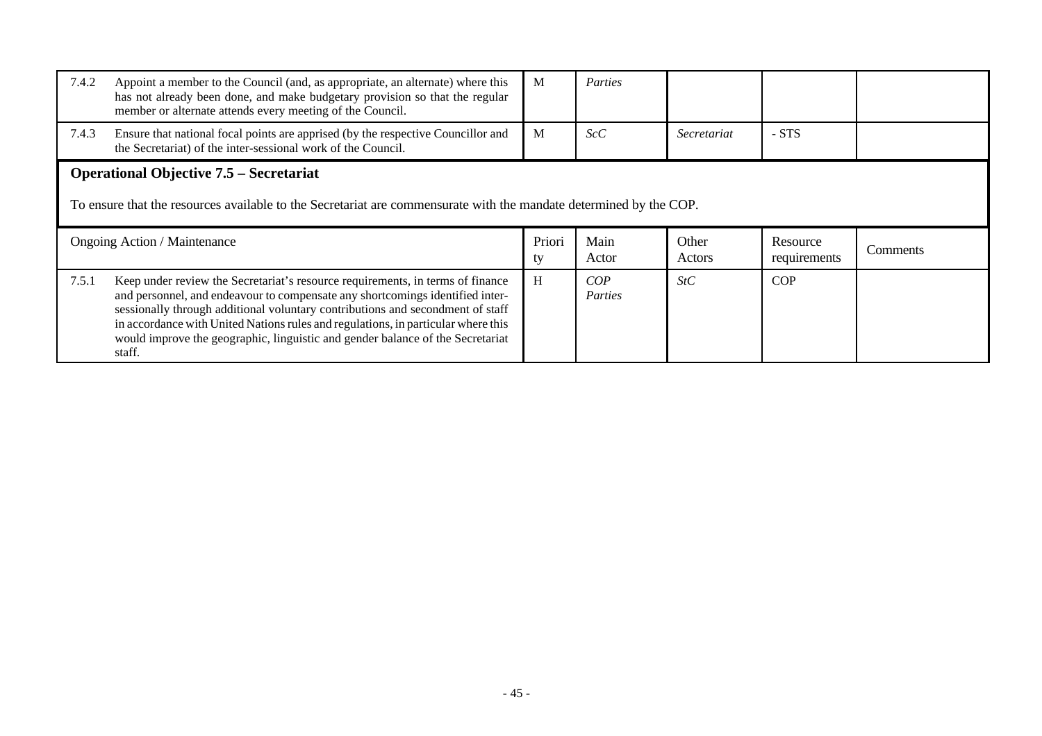| 7.4.2                                                                                                                                                                | Appoint a member to the Council (and, as appropriate, an alternate) where this<br>has not already been done, and make budgetary provision so that the regular<br>member or alternate attends every meeting of the Council. | M            | Parties       |                 |                          |          |  |
|----------------------------------------------------------------------------------------------------------------------------------------------------------------------|----------------------------------------------------------------------------------------------------------------------------------------------------------------------------------------------------------------------------|--------------|---------------|-----------------|--------------------------|----------|--|
| 7.4.3                                                                                                                                                                | Ensure that national focal points are apprised (by the respective Councillor and<br>the Secretariat) of the inter-sessional work of the Council.                                                                           | M            | ScC           | Secretariat     | - STS                    |          |  |
| <b>Operational Objective 7.5 – Secretariat</b><br>To ensure that the resources available to the Secretariat are commensurate with the mandate determined by the COP. |                                                                                                                                                                                                                            |              |               |                 |                          |          |  |
| <b>Ongoing Action / Maintenance</b>                                                                                                                                  |                                                                                                                                                                                                                            |              |               |                 |                          |          |  |
|                                                                                                                                                                      |                                                                                                                                                                                                                            | Priori<br>ty | Main<br>Actor | Other<br>Actors | Resource<br>requirements | Comments |  |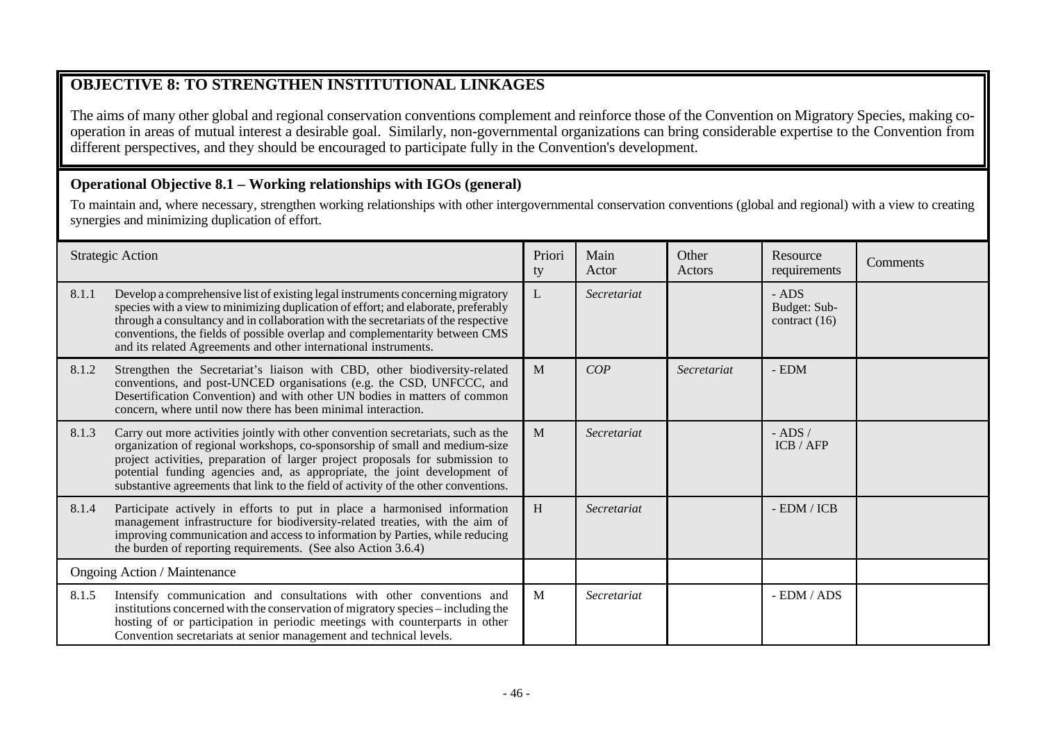# **OBJECTIVE 8: TO STRENGTHEN INSTITUTIONAL LINKAGES**

The aims of many other global and regional conservation conventions complement and reinforce those of the Convention on Migratory Species, making cooperation in areas of mutual interest a desirable goal. Similarly, non-governmental organizations can bring considerable expertise to the Convention from different perspectives, and they should be encouraged to participate fully in the Convention's development.

## **Operational Objective 8.1 – Working relationships with IGOs (general)**

To maintain and, where necessary, strengthen working relationships with other intergovernmental conservation conventions (global and regional) with a view to creating synergies and minimizing duplication of effort.

|                              | <b>Strategic Action</b>                                                                                                                                                                                                                                                                                                                                                                                              | Priori<br>ty | Main<br>Actor | Other<br>Actors | Resource<br>requirements                   | Comments |
|------------------------------|----------------------------------------------------------------------------------------------------------------------------------------------------------------------------------------------------------------------------------------------------------------------------------------------------------------------------------------------------------------------------------------------------------------------|--------------|---------------|-----------------|--------------------------------------------|----------|
| 8.1.1                        | Develop a comprehensive list of existing legal instruments concerning migratory<br>species with a view to minimizing duplication of effort; and elaborate, preferably<br>through a consultancy and in collaboration with the secretariats of the respective<br>conventions, the fields of possible overlap and complementarity between CMS<br>and its related Agreements and other international instruments.        | L            | Secretariat   |                 | $-$ ADS<br>Budget: Sub-<br>contract $(16)$ |          |
| 8.1.2                        | Strengthen the Secretariat's liaison with CBD, other biodiversity-related<br>conventions, and post-UNCED organisations (e.g. the CSD, UNFCCC, and<br>Desertification Convention) and with other UN bodies in matters of common<br>concern, where until now there has been minimal interaction.                                                                                                                       | M            | COP           | Secretariat     | $-$ EDM                                    |          |
| 8.1.3                        | Carry out more activities jointly with other convention secretariats, such as the<br>organization of regional workshops, co-sponsorship of small and medium-size<br>project activities, preparation of larger project proposals for submission to<br>potential funding agencies and, as appropriate, the joint development of<br>substantive agreements that link to the field of activity of the other conventions. | M            | Secretariat   |                 | $-$ ADS $/$<br>ICB / AFP                   |          |
| 8.1.4                        | Participate actively in efforts to put in place a harmonised information<br>management infrastructure for biodiversity-related treaties, with the aim of<br>improving communication and access to information by Parties, while reducing<br>the burden of reporting requirements. (See also Action 3.6.4)                                                                                                            | H            | Secretariat   |                 | $-$ EDM / ICB                              |          |
| Ongoing Action / Maintenance |                                                                                                                                                                                                                                                                                                                                                                                                                      |              |               |                 |                                            |          |
| 8.1.5                        | Intensify communication and consultations with other conventions and<br>institutions concerned with the conservation of migratory species - including the<br>hosting of or participation in periodic meetings with counterparts in other<br>Convention secretariats at senior management and technical levels.                                                                                                       | M            | Secretariat   |                 | - EDM / ADS                                |          |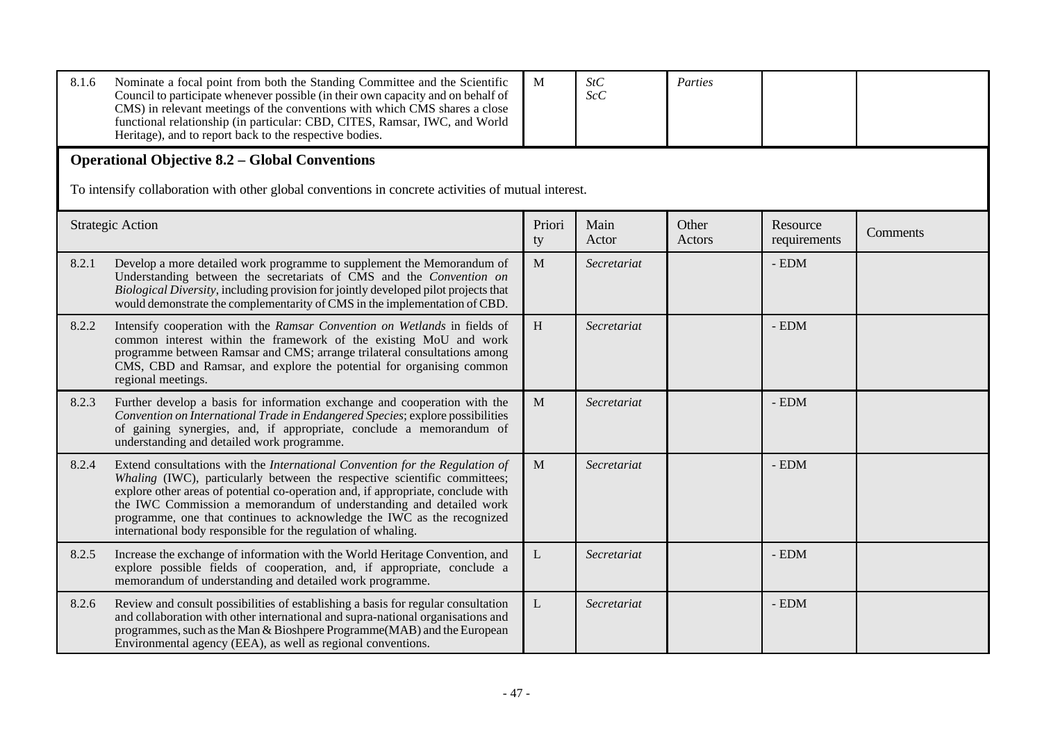| 8.1.6 | Nominate a focal point from both the Standing Committee and the Scientific<br>Council to participate whenever possible (in their own capacity and on behalf of<br>CMS) in relevant meetings of the conventions with which CMS shares a close<br>functional relationship (in particular: CBD, CITES, Ramsar, IWC, and World<br>Heritage), and to report back to the respective bodies.                                                                          | M            | StC<br>ScC    | Parties         |                          |          |  |  |  |  |
|-------|----------------------------------------------------------------------------------------------------------------------------------------------------------------------------------------------------------------------------------------------------------------------------------------------------------------------------------------------------------------------------------------------------------------------------------------------------------------|--------------|---------------|-----------------|--------------------------|----------|--|--|--|--|
|       | <b>Operational Objective 8.2 - Global Conventions</b><br>To intensify collaboration with other global conventions in concrete activities of mutual interest.                                                                                                                                                                                                                                                                                                   |              |               |                 |                          |          |  |  |  |  |
|       | <b>Strategic Action</b>                                                                                                                                                                                                                                                                                                                                                                                                                                        | Priori<br>ty | Main<br>Actor | Other<br>Actors | Resource<br>requirements | Comments |  |  |  |  |
| 8.2.1 | Develop a more detailed work programme to supplement the Memorandum of<br>Understanding between the secretariats of CMS and the Convention on<br>Biological Diversity, including provision for jointly developed pilot projects that<br>would demonstrate the complementarity of CMS in the implementation of CBD.                                                                                                                                             | M            | Secretariat   |                 | $-$ EDM                  |          |  |  |  |  |
| 8.2.2 | Intensify cooperation with the Ramsar Convention on Wetlands in fields of<br>common interest within the framework of the existing MoU and work<br>programme between Ramsar and CMS; arrange trilateral consultations among<br>CMS, CBD and Ramsar, and explore the potential for organising common<br>regional meetings.                                                                                                                                       | H            | Secretariat   |                 | $-$ EDM                  |          |  |  |  |  |
| 8.2.3 | Further develop a basis for information exchange and cooperation with the<br>Convention on International Trade in Endangered Species; explore possibilities<br>of gaining synergies, and, if appropriate, conclude a memorandum of<br>understanding and detailed work programme.                                                                                                                                                                               | M            | Secretariat   |                 | $-$ EDM                  |          |  |  |  |  |
| 8.2.4 | Extend consultations with the International Convention for the Regulation of<br>Whaling (IWC), particularly between the respective scientific committees;<br>explore other areas of potential co-operation and, if appropriate, conclude with<br>the IWC Commission a memorandum of understanding and detailed work<br>programme, one that continues to acknowledge the IWC as the recognized<br>international body responsible for the regulation of whaling. | $\mathbf{M}$ | Secretariat   |                 | $-$ EDM                  |          |  |  |  |  |
| 8.2.5 | Increase the exchange of information with the World Heritage Convention, and<br>explore possible fields of cooperation, and, if appropriate, conclude a<br>memorandum of understanding and detailed work programme.                                                                                                                                                                                                                                            | L            | Secretariat   |                 | - EDM                    |          |  |  |  |  |
| 8.2.6 | Review and consult possibilities of establishing a basis for regular consultation<br>and collaboration with other international and supra-national organisations and<br>programmes, such as the Man & Bioshpere Programme(MAB) and the European<br>Environmental agency (EEA), as well as regional conventions.                                                                                                                                                | $\mathbf{L}$ | Secretariat   |                 | - EDM                    |          |  |  |  |  |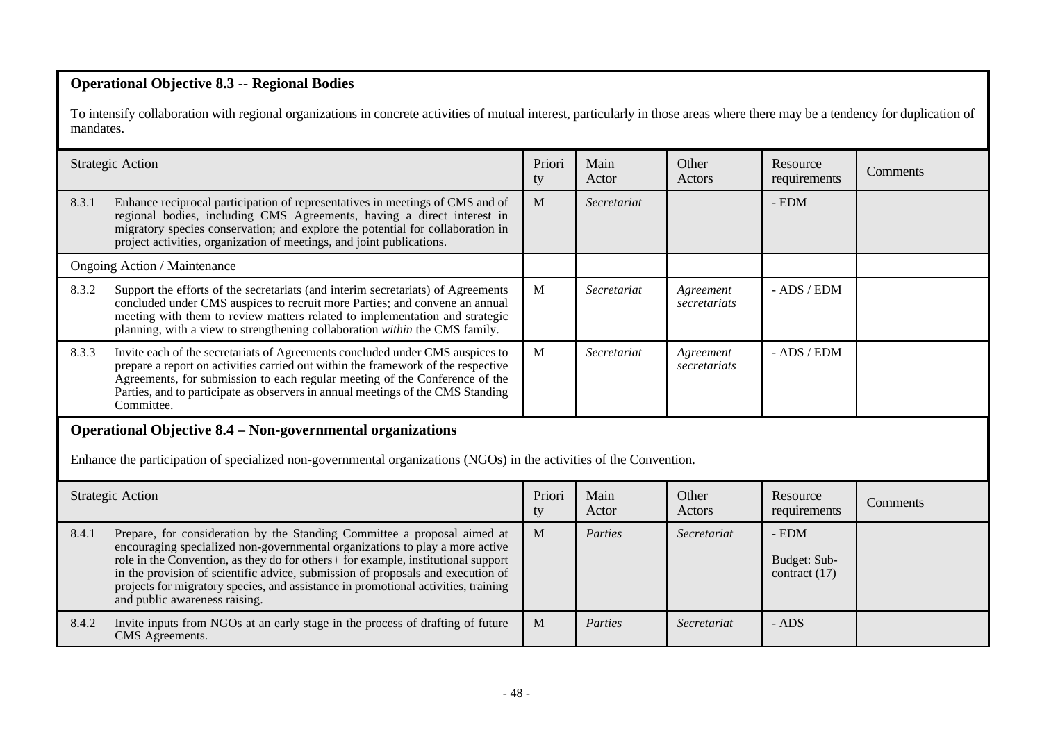## **Operational Objective 8.3 -- Regional Bodies**

To intensify collaboration with regional organizations in concrete activities of mutual interest, particularly in those areas where there may be a tendency for duplication of mandates.

| <b>Strategic Action</b>                                                                                                                                                                  |                                                                                                                                                                                                                                                                                                                                                                                                                                                         | Priori<br>ty | Main<br>Actor | Other<br>Actors           | Resource<br>requirements                   | Comments |  |
|------------------------------------------------------------------------------------------------------------------------------------------------------------------------------------------|---------------------------------------------------------------------------------------------------------------------------------------------------------------------------------------------------------------------------------------------------------------------------------------------------------------------------------------------------------------------------------------------------------------------------------------------------------|--------------|---------------|---------------------------|--------------------------------------------|----------|--|
| 8.3.1                                                                                                                                                                                    | Enhance reciprocal participation of representatives in meetings of CMS and of<br>regional bodies, including CMS Agreements, having a direct interest in<br>migratory species conservation; and explore the potential for collaboration in<br>project activities, organization of meetings, and joint publications.                                                                                                                                      | M            | Secretariat   |                           | - EDM                                      |          |  |
|                                                                                                                                                                                          | Ongoing Action / Maintenance                                                                                                                                                                                                                                                                                                                                                                                                                            |              |               |                           |                                            |          |  |
| 8.3.2                                                                                                                                                                                    | Support the efforts of the secretariats (and interim secretariats) of Agreements<br>concluded under CMS auspices to recruit more Parties; and convene an annual<br>meeting with them to review matters related to implementation and strategic<br>planning, with a view to strengthening collaboration within the CMS family.                                                                                                                           | M            | Secretariat   | Agreement<br>secretariats | - ADS / EDM                                |          |  |
| 8.3.3                                                                                                                                                                                    | Invite each of the secretariats of Agreements concluded under CMS auspices to<br>prepare a report on activities carried out within the framework of the respective<br>Agreements, for submission to each regular meeting of the Conference of the<br>Parties, and to participate as observers in annual meetings of the CMS Standing<br>Committee.                                                                                                      | M            | Secretariat   | Agreement<br>secretariats | - ADS / EDM                                |          |  |
| <b>Operational Objective 8.4 – Non-governmental organizations</b><br>Enhance the participation of specialized non-governmental organizations (NGOs) in the activities of the Convention. |                                                                                                                                                                                                                                                                                                                                                                                                                                                         |              |               |                           |                                            |          |  |
| <b>Strategic Action</b>                                                                                                                                                                  |                                                                                                                                                                                                                                                                                                                                                                                                                                                         | Priori<br>ty | Main<br>Actor | Other<br>Actors           | Resource<br>requirements                   | Comments |  |
| 8.4.1                                                                                                                                                                                    | Prepare, for consideration by the Standing Committee a proposal aimed at<br>encouraging specialized non-governmental organizations to play a more active<br>role in the Convention, as they do for others) for example, institutional support<br>in the provision of scientific advice, submission of proposals and execution of<br>projects for migratory species, and assistance in promotional activities, training<br>and public awareness raising. | M            | Parties       | Secretariat               | $-$ EDM<br>Budget: Sub-<br>contract $(17)$ |          |  |
| 8.4.2                                                                                                                                                                                    | Invite inputs from NGOs at an early stage in the process of drafting of future<br>CMS Agreements.                                                                                                                                                                                                                                                                                                                                                       | M            | Parties       | Secretariat               | - ADS                                      |          |  |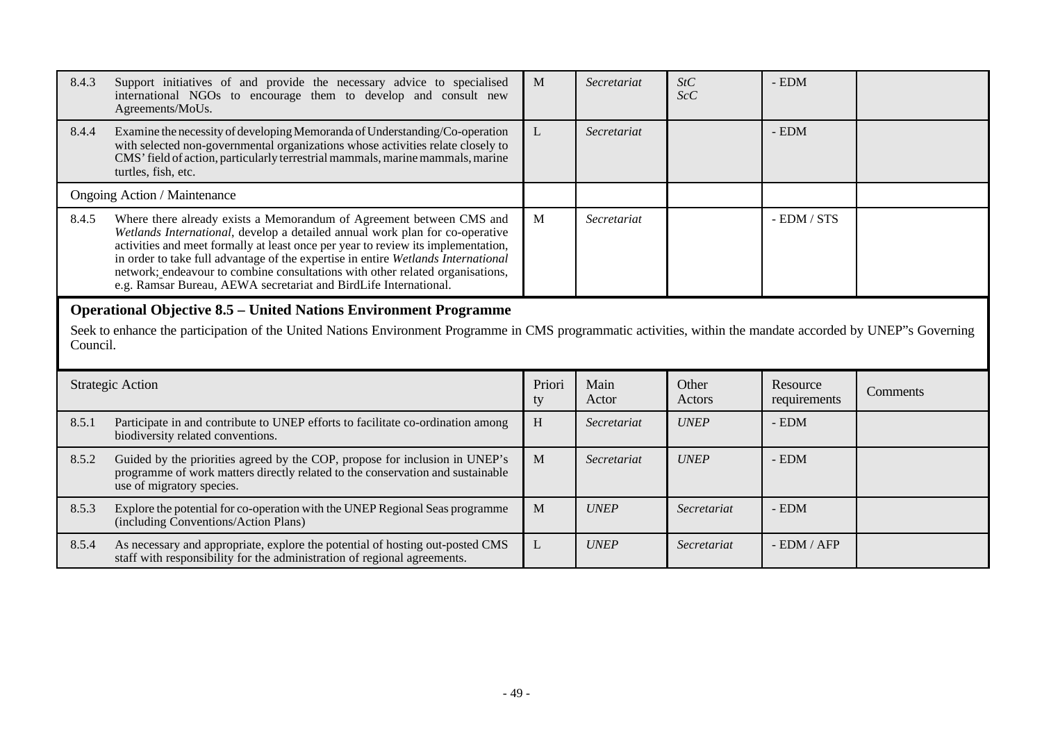| 8.4.3 | Support initiatives of and provide the necessary advice to specialised<br>international NGOs to encourage them to develop and consult new<br>Agreements/MoUs.                                                                                                                                                                                                                                                                                                                       | M            | Secretariat   | StC<br>ScC      | $-$ EDM                  |          |  |  |
|-------|-------------------------------------------------------------------------------------------------------------------------------------------------------------------------------------------------------------------------------------------------------------------------------------------------------------------------------------------------------------------------------------------------------------------------------------------------------------------------------------|--------------|---------------|-----------------|--------------------------|----------|--|--|
| 8.4.4 | Examine the necessity of developing Memoranda of Understanding/Co-operation<br>with selected non-governmental organizations whose activities relate closely to<br>CMS' field of action, particularly terrestrial mammals, marine mammals, marine<br>turtles, fish, etc.                                                                                                                                                                                                             | L            | Secretariat   |                 | - EDM                    |          |  |  |
|       | Ongoing Action / Maintenance                                                                                                                                                                                                                                                                                                                                                                                                                                                        |              |               |                 |                          |          |  |  |
| 8.4.5 | Where there already exists a Memorandum of Agreement between CMS and<br>Wetlands International, develop a detailed annual work plan for co-operative<br>activities and meet formally at least once per year to review its implementation,<br>in order to take full advantage of the expertise in entire Wetlands International<br>network; endeavour to combine consultations with other related organisations,<br>e.g. Ramsar Bureau, AEWA secretariat and BirdLife International. | M            | Secretariat   |                 | - EDM / STS              |          |  |  |
|       | <b>Operational Objective 8.5 – United Nations Environment Programme</b><br>Seek to enhance the participation of the United Nations Environment Programme in CMS programmatic activities, within the mandate accorded by UNEP's Governing<br>Council.                                                                                                                                                                                                                                |              |               |                 |                          |          |  |  |
|       | <b>Strategic Action</b>                                                                                                                                                                                                                                                                                                                                                                                                                                                             | Priori<br>ty | Main<br>Actor | Other<br>Actors | Resource<br>requirements | Comments |  |  |
| 8.5.1 | Participate in and contribute to UNEP efforts to facilitate co-ordination among<br>biodiversity related conventions.                                                                                                                                                                                                                                                                                                                                                                | H            | Secretariat   | <b>UNEP</b>     | - EDM                    |          |  |  |
| 8.5.2 | Guided by the priorities agreed by the COP, propose for inclusion in UNEP's<br>programme of work matters directly related to the conservation and sustainable<br>use of migratory species.                                                                                                                                                                                                                                                                                          | M            | Secretariat   | <b>UNEP</b>     | $-$ EDM                  |          |  |  |
| 8.5.3 | Explore the potential for co-operation with the UNEP Regional Seas programme<br>(including Conventions/Action Plans)                                                                                                                                                                                                                                                                                                                                                                | M            | <b>UNEP</b>   | Secretariat     | - EDM                    |          |  |  |
| 8.5.4 | As necessary and appropriate, explore the potential of hosting out-posted CMS<br>staff with responsibility for the administration of regional agreements.                                                                                                                                                                                                                                                                                                                           | L            | <b>UNEP</b>   | Secretariat     | $-$ EDM $/$ AFP          |          |  |  |